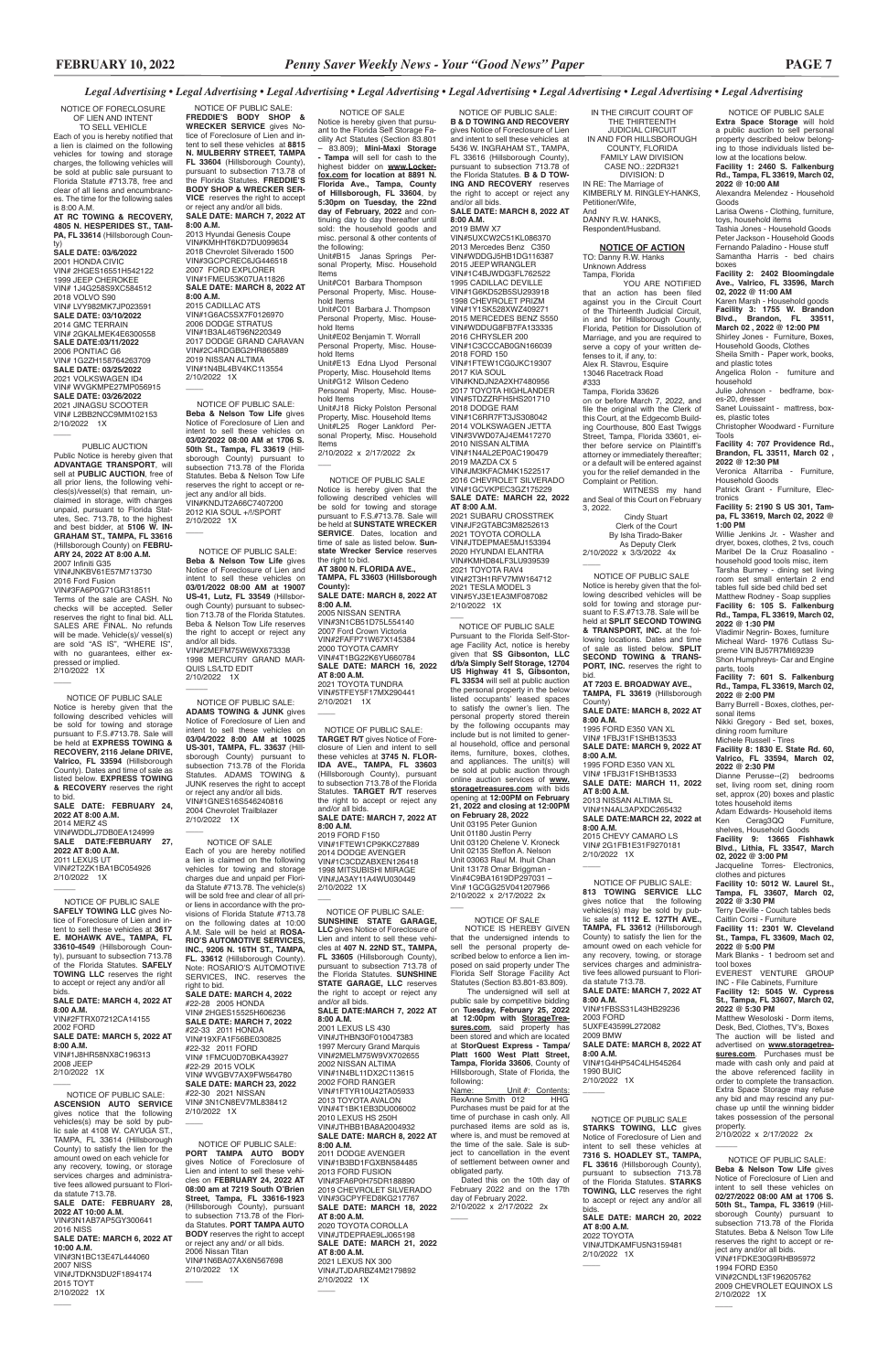NOTICE OF PUBLIC SALE **Extra Space Storage** will hold a public auction to sell personal property described below belonging to those individuals listed below at the locations below. **Facility 1: 2460 S. Falkenburg** 

**Rd., Tampa, FL 33619, March 02, 2022 @ 10:00 AM** Alexandra Melendez - Household

Goods Larisa Owens - Clothing, furniture,

toys, household items Tashia Jones - Household Goods Peter Jackson - Household Goods Fernando Paladino - House stuff Samantha Harris - bed chairs boxes

**Facility 2: 2402 Bloomingdale Ave., Valrico, FL 33596, March 02, 2022 @ 11:00 AM**

Karen Marsh - Household goods **Facility 3: 1755 W. Brandon Blvd., Brandon, FL 33511, March 02 , 2022 @ 12:00 PM**

Shirley Jones - Furniture, Boxes, Household Goods, Clothes Sheila Smith - Paper work, books,

and plastic totes Angelica Rolon - furniture and

household Julie Johnson - bedframe, box-

es-20, dresser Sanet Louissaint - mattress, box-

es, plastic totes Christopher Woodward - Furniture Tools

Adam Edwards- Household items<br>Ken Cerag3QQ Furniture, Ken Cerag3QQ Furniture,

**Facility 4: 707 Providence Rd., Brandon, FL 33511, March 02 , 2022 @ 12:30 PM**

Veronica Altarriba - Furniture, Household Goods

Patrick Grant - Furniture, Electronics

**Facility 5: 2190 S US 301, Tampa, FL 33619, March 02, 2022 @ 1:00 PM**

Willie Jenkins Jr. - Washer and dryer, boxes, clothes, 2 tvs, couch Maribel De la Cruz Roasalino household good tools misc, item Tarsha Burney - dining set living room set small entertain 2 end tables full side bed child bed set Matthew Rodney - Soap supplies **Facility 6: 105 S. Falkenburg Rd., Tampa, FL 33619, March 02,** 

 NOTICE OF PUBLIC SALE: **Beba & Nelson Tow Life** gives Notice of Foreclosure of Lien and intent to sell these vehicles on **02/27/2022 08:00 AM at 1706 S. 50th St., Tampa, FL 33619** (Hillsborough County) pursuant to subsection 713.78 of the Florida Statutes. Beba & Nelson Tow Life reserves the right to accept or reject any and/or all bids. VIN#1FDKE30G9RHB95972 1994 FORD E350 VIN#2CNDL13F196205762 2009 CHEVROLET EQUINOX LS 2/10/2022 1X  $\overline{\phantom{a}}$ 

**2022 @ 1:30 PM** Vladimir Negrin- Boxes, furniture Micheal Ward- 1976 Cutlass Supreme VIN BJ57R7MI69239 Shon Humphreys- Car and Engine

parts, tools **Facility 7: 601 S. Falkenburg** 

**Rd., Tampa, FL 33619, March 02, 2022 @ 2:00 PM** Barry Burrell - Boxes, clothes, per-

sonal items Nikki Gregory - Bed set, boxes,

dining room furniture Michele Russell - Tires

**Facility 8: 1830 E. State Rd. 60, Valrico, FL 33594, March 02, 2022 @ 2:30 PM**

Dianne Perusse--(2) bedrooms set, living room set, dining room set, approx (20) boxes and plastic totes household items

shelves, Household Goods **Facility 9: 13665 Fishhawk Blvd., Lithia, FL 33547, March 02, 2022 @ 3:00 PM**

Jacqueline Torres- Electronics,

clothes and pictures **Facility 10: 5012 W. Laurel St., Tampa, FL 33607, March 02,** 

**2022 @ 3:30 PM** Terry Deville - Couch tables beds Caitlin Corsi - Furniture

**Facility 11: 2301 W. Cleveland St., Tampa, FL 33609, Mach 02, 2022 @ 5:00 PM**

Mark Blanks - 1 bedroom set and tool boxes

EVEREST VENTURE GROUP INC - File Cabinets, Furniture **Facility 12: 5045 W. Cypress** 

VIN# 2G1FB1E31F9270181 2/10/2022 1X  $\overline{\phantom{a}}$ 

**St., Tampa, FL 33607, March 02,** 

#### **2022 @ 5:30 PM**

 $\overline{\phantom{a}}$ 

Matthew Wesoloski - Dorm items, Desk, Bed, Clothes, TV's, Boxes The auction will be listed and advertised on **www.storagetreasures.com**. Purchases must be made with cash only and paid at the above referenced facility in order to complete the transaction. Extra Space Storage may refuse any bid and may rescind any purchase up until the winning bidder takes possession of the personal property. 2/10/2022 x 2/17/2022 2x

VIN#KMHD84LF3LU939539 2021 TOYOTA RAV4 VIN#2T3H1RFV7MW164712 2021 TESLA MODEL 3 VIN#5YJ3E1EA3MF087082 2/10/2022 1X  $\overline{\phantom{a}}$ 

IN THE CIRCUIT COURT OF THE THIRTEENTH JUDICIAL CIRCUIT IN AND FOR HILLSBOROUGH COUNTY, FLORIDA FAMILY LAW DIVISION CASE NO.: 22DR321 DIVISION: D IN RE: The Marriage of KIMBERLY M. RINGLEY-HANKS, Petitioner/Wife, And

DANNY R.W. HANKS, Respondent/Husband.

### **NOTICE OF ACTION**

TO: Danny R.W. Hanks Unknown Address Tampa, Florida

VIN#1FBSS31L43HB29236  $\overline{\phantom{a}}$  The undersigned will sell at public sale by competitive bidding on **Tuesday, February 25, 2022 at 12:00pm with StorageTreasures.com**, said property has been stored and which are located at **StorQuest Express - Tampa/ Platt 1600 West Platt Street, Tampa, Florida 33606**, County of Hillsborough, State of Florida, the following: Name: Unit #: Contents: RexAnne Smith 012 Purchases must be paid for at the time of purchase in cash only. All purchased items are sold as is, where is, and must be removed at the time of the sale. Sale is subject to cancellation in the event of settlement between owner and obligated party. Dated this on the 10th day of February 2022 and on the 17th day of February 2022. 2/10/2022 x 2/17/2022 2x  $\overline{\phantom{a}}$ 

YOU ARE NOTIFIED that an action has been filed against you in the Circuit Court of the Thirteenth Judicial Circuit, in and for Hillsborough County, Florida, Petition for Dissolution of Marriage, and you are required to serve a copy of your written defenses to it, if any, to: Alex R. Stavrou, Esquire 13046 Racetrack Road #333

Tampa, Florida 33626 on or before March 7, 2022, and file the original with the Clerk of this Court, at the Edgecomb Building Courthouse, 800 East Twiggs Street, Tampa, Florida 33601, either before service on Plaintiff's attorney or immediately thereafter; or a default will be entered against you for the relief demanded in the Complaint or Petition.

WITNESS my hand and Seal of this Court on February 3, 2022.

 Cindy Stuart Clerk of the Court By Isha Tirado-Baker As Deputy Clerk 2/10/2022 x 3/3/2022 4x

 $\overline{\phantom{a}}$ 

 NOTICE OF PUBLIC SALE Notice is hereby given that the following described vehicles will be sold for towing and storage pursuant to F.S.#713.78. Sale will be held at **SPLIT SECOND TOWING & TRANSPORT, INC.** at the following locations. Dates and time of sale as listed below. **SPLIT SECOND TOWING & TRANS-PORT, INC.** reserves the right to bid. **AT 7203 E. BROADWAY AVE.,**

**TAMPA, FL 33619** (Hillsborough County) **SALE DATE: MARCH 8, 2022 AT** 

**8:00 A.M.** 1995 FORD E350 VAN XL

VIN# 1FBJ31F1SHB13533 **SALE DATE: MARCH 9, 2022 AT 8:00 A.M.**

1995 FORD E350 VAN XL VIN# 1FBJ31F1SHB13533 **SALE DATE: MARCH 11, 2022 AT 8:00 A.M.**

2013 NISSAN ALTIMA SL VIN#1N4AL3APXDC265432 **SALE DATE:MARCH 22, 2022 at 8:00 A.M.** 2015 CHEVY CAMARO LS

VIN#4T1BG22K6YU660784 **SALE DATE: MARCH 16, 2022 AT 8:00 A.M.** 2021 TOYOTA TUNDRA VIN#5TFEY5F17MX290441 2/10/2021 1X  $\overline{\phantom{a}}$ 

NOTICE OF PUBLIC SALE:

**B & D TOWING AND RECOVERY**  gives Notice of Foreclosure of Lien and intent to sell these vehicles at 5436 W. INGRAHAM ST., TAMPA, FL 33616 (Hillsborough County), pursuant to subsection 713.78 of the Florida Statutes. **B & D TOW-ING AND RECOVERY** reserves the right to accept or reject any

2014 DODGE AVENGER VIN#1C3CDZABXEN126418 1998 MITSUBISHI MIRAGE VIN#JA3AY11A4WU030449 2/10/2022 1X  $\overline{\phantom{a}}$ 

#### and/or all bids. **SALE DATE: MARCH 8, 2022 AT 8:00 A.M.**

2020 TOYOTA COROLLA VIN#JTDEPRAE9LJ065198 **SALE DATE: MARCH 21, 2022 AT 8:00 A.M.** 2021 LEXUS NX 300 VIN#JTJDARBZ4M2179892 2/10/2022 1X  $\overline{\phantom{a}}$ 

2019 BMW X7 VIN#5UXCW2C51KL086370 2013 Mercedes Benz C350 VIN#WDDGJ5HB1DG116387 2015 JEEPWRANGLER VIN#1C4BJWDG3FL762522 1995 CADILLAC DEVILLE VIN#1G6KD52B5SU293918 1998 CHEVROLET PRIZM VIN#1Y1SK528XWZ409271 2015 MERCEDES BENZ S550 VIN#WDDUG8FB7FA133335 2016 CHRYSLER 200 VIN#1C3CCCAB0GN166039 2018 FORD 150 VIN#1FTEW1CG0JKC19307 2017 KIA SOUL VIN#KNDJN2A2XH7480956 2017 TOYOTA HIGHLANDER VIN#5TDZZRFH5HS201710 2018 DODGE RAM VIN#1C6RR7FT3JS308042 2014 VOLKSWAGEN JETTA VIN#3VWD07AJ4EM417270 2010 NISSAN ALTIMA VIN#1N4AL2EP0AC190479 2019 MAZDA CX 5 VIN#JM3KFACM4K1522517 2016 CHEVROLET SILVERADO VIN#1GCVKPEC3GZ175229 **SALE DATE: MARCH 22, 2022 AT 8:00 A.M.** 2021 SUBARU CROSSTREK VIN#JF2GTABC3M8252613 2021 TOYOTA COROLLA VIN#JTDEPMAE5MJ153394 2020 HYUNDAI ELANTRA

intent to sell these vehicles on **03/02/2022 08:00 AM at 1706 S. 50th St., Tampa, FL 33619** (Hillsborough County) pursuant to subsection 713.78 of the Florida Statutes. Beba & Nelson Tow Life reserves the right to accept or reject any and/or all bids. VIN#KNDJT2A66C7407200 2012 KIA SOUL +/!/SPORT 2/10/2022 1X  $\overline{\phantom{a}}$ 

> NOTICE OF PUBLIC SALE Pursuant to the Florida Self-Storage Facility Act, notice is hereby given that **SS Gibsonton, LLC d/b/a Simply Self Storage, 12704 US Highway 41 S, Gibsonton, FL 33534** will sell at public auction the personal property in the below listed occupants' leased spaces to satisfy the owner's lien. The personal property stored therein by the following occupants may include but is not limited to general household, office and personal items, furniture, boxes, clothes, and appliances. The unit(s) will be sold at public auction through online auction services of **www. storagetreasures.com** with bids opening at **12:00PM on February 21, 2022 and closing at 12:00PM on February 28, 2022** Unit 03195 Peter Gunion

VIN# 2HGES15525H606236 **SALE DATE: MARCH 7, 2022** #22-33 2011 HONDA VIN#19XFA1F56BE030825 #22-32 2011 FORD VIN# 1FMCU0D70BKA43927 #22-29 2015 VOLK VIN# WVGBV7AX9FW564780 **SALE DATE: MARCH 23, 2022** bids. **SALE DATE: MARCH 4, 2022 AT 8:00 A.M.** VIN#2FTRX07212CA14155 2002 FORD **SALE DATE: MARCH 5, 2022 AT 8:00 A.M.** VIN#1J8HR58NX8C196313 2008 JEEP 2/10/2022 1X  $\overline{\phantom{a}}$ 

Unit 01180 Justin Perry Unit 03120 Chelene V. Kroneck Unit 02135 Steffon A. Nelson Unit 03063 Raul M. Ihuit Chan Unit 13178 Omar Briggman - Vin#4C9BA1619DP297031 – Vin# 1GCGG25V041207966 2/10/2022 x 2/17/2022 2x

# **AT RC TOWING & RECOVERY, 4805 N. HESPERIDES ST., TAM-**PA, FL 33614 (Hillsborough Coun-

 NOTICE OF PUBLIC SALE: **813 TOWING SERVICE LLC**  gives notice that the following vehicles(s) may be sold by pub-lic sale at **1112 E. 127TH AVE., TAMPA, FL 33612** (Hillsborough County) to satisfy the lien for the amount owed on each vehicle for any recovery, towing, or storage services charges and administrative fees allowed pursuant to Florida statute 713.78.

**SALE DATE: MARCH 7, 2022 AT 8:00 A.M.**

2003 FORD 5UXFE43599L272082 2009 BMW **SALE DATE: MARCH 8, 2022 AT 8:00 A.M.** VIN#1G4HP54C4LH545264 1990 BUIC 2/10/2022 1X

#### NOTICE OF PUBLIC SALE **STARKS TOWING, LLC** gives Notice of Foreclosure of Lien and intent to sell these vehicles at

 NOTICE OF PUBLIC SALE: **PORT TAMPA AUTO BODY** gives Notice of Foreclosure of Lien and intent to sell these vehicles on **FEBRUARY 24, 2022 AT 08:00 am at 7219 South O'Brien Street, Tampa, FL 33616-1923** (Hillsborough County), pursuant to subsection 713.78 of the Florida Statutes. **PORT TAMPA AUTO BODY** reserves the right to accept or reject any and/ or all bids. 2006 Nissan Titan VIN#1N6BA07AX6N567698 2/10/2022 1X  $\overline{\phantom{a}}$ 

**7316 S. HOADLEY ST., TAMPA, FL 33616** (Hillsborough County), pursuant to subsection 713.78 of the Florida Statutes. **STARKS TOWING, LLC** reserves the right to accept or reject any and/or all bids. **SALE DATE: MARCH 20, 2022 AT 8:00 A.M.** 2022 TOYOTA VIN#JTDKAMFU5N3159481 2/10/2022 1X

 $\overline{\phantom{a}}$ 

NOTICE OF SALE

 $\overline{\phantom{a}}$ 

 NOTICE IS HEREBY GIVEN that the undersigned intends to sell the personal property described below to enforce a lien imposed on said property under The Florida Self Storage Facility Act Statutes (Section 83.801-83.809).

#### NOTICE OF SALE

Notice is hereby given that pursuant to the Florida Self Storage Facility Act Statutes (Section 83.801 – 83.809); **Mini-Maxi Storage - Tampa** will sell for cash to the highest bidder on **www.Lockerfox.com for location at 8891 N. Florida Ave., Tampa, County of Hillsborough, FL 33604**, by **5:30pm on Tuesday, the 22nd day of February, 2022** and continuing day to day thereafter until sold: the household goods and misc. personal & other contents of the following: Unit#B15 Janas Springs Personal Property, Misc. Household Items

Unit#C01 Barbara Thompson Personal Property, Misc. Household Items Unit#C01 Barbara J. Thompson Personal Property, Misc. Household Items Unit#E02 Benjamin T. Worrall Personal Property, Misc. House-

hold Items Unit#E13 Edna Llyod Personal Property, Misc. Household Items Unit#G12 Wilson Cedeno

Personal Property, Misc. Household Items Unit#J18 Ricky Polston Personal Property, Misc. Household Items Unit#L25 Roger Lankford Per-

sonal Property, Misc. Household Items 2/10/2022 x 2/17/2022 2x

### $\overline{\phantom{a}}$

NOTICE OF PUBLIC SALE Notice is hereby given that the following described vehicles will be sold for towing and storage pursuant to F.S.#713.78. Sale will be held at **SUNSTATE WRECKER SERVICE**. Dates, location and time of sale as listed below. **Sunstate Wrecker Service** reserves the right to bid. **AT 3800 N. FLORIDA AVE.,** 

**TAMPA, FL 33603 (Hillsborough County): SALE DATE: MARCH 8, 2022 AT** 

**8:00 A.M.** 2005 NISSAN SENTRA VIN#3N1CB51D75L554140 2007 Ford Crown Victoria VIN#2FAFP71W67X145384 2000 TOYOTA CAMRY

 NOTICE OF PUBLIC SALE: **TARGET R/T** gives Notice of Foreclosure of Lien and intent to sell these vehicles at **3745 N. FLOR-IDA AVE., TAMPA, FL 33603**  (Hillsborough County), pursuant to subsection 713.78 of the Florida Statutes. **TARGET R/T** reserves the right to accept or reject any and/or all bids.

**SALE DATE: MARCH 7, 2022 AT 8:00 A.M.** 2019 FORD F150 VIN#1FTEW1CP9KKC27889

 NOTICE OF PUBLIC SALE: **SUNSHINE STATE GARAGE, LLC** gives Notice of Foreclosure of Lien and intent to sell these vehicles at **407 N. 22ND ST., TAMPA, FL 33605** (Hillsborough County), pursuant to subsection 713.78 of the Florida Statutes. **SUNSHINE STATE GARAGE, LLC** reserves the right to accept or reject any and/or all bids.

#### **SALE DATE:MARCH 7, 2022 AT 8:00 A.M.**

2001 LEXUS LS 430 VIN#JTHBN30F010047383 1997 Mercury Grand Marquis VIN#2MELM75W9VX702655 2002 NISSAN ALTIMA VIN#1N4BL11DX2C113615 2002 FORD RANGER VIN#1FTYR10U42TA05933 2013 TOYOTA AVALON VIN#4T1BK1EB3DU006002 2010 LEXUS HS 250H VIN#JTHBB1BA8A2004932 **SALE DATE: MARCH 8, 2022 AT 8:00 A.M.**

2011 DODGE AVENGER VIN#1B3BD1FGXBN584485 2013 FORD FUSION VIN#3FA6P0H75DR188890 2019 CHEVROLET SILVERADO VIN#3GCPYFED8KG217767 **SALE DATE: MARCH 18, 2022 AT 8:00 A.M.**

 NOTICE OF PUBLIC SALE: **FREDDIE'S BODY SHOP & WRECKER SERVICE** gives Notice of Foreclosure of Lien and intent to sell these vehicles at **8815 N. MULBERRY STREET, TAMPA FL 33604** (Hillsborough County), pursuant to subsection 713.78 of the Florida Statutes. **FREDDIE'S BODY SHOP & WRECKER SER-VICE** reserves the right to accept or reject any and/or all bids. **SALE DATE: MARCH 7, 2022 AT** 

# **8:00 A.M.**

2013 Hyundai Genesis Coupe VIN#KMHHT6KD7DU099634 2018 Chevrolet Silverado 1500 VIN#3GCPCREC6JG446518 2007 FORD EXPLORER VIN#1FMEU53K07UA11826 **SALE DATE: MARCH 8, 2022 AT 8:00 A.M.** 2015 CADILLAC ATS VIN#1G6AC5SX7F0126970 2006 DODGE STRATUS VIN#1B3AL46T96N220349 2017 DODGE GRAND CARAVAN

VIN#2C4RDGBG2HR865889 2019 NISSAN ALTIMA VIN#1N4BL4BV4KC113554 2/10/2022 1X  $\overline{\phantom{a}}$  NOTICE OF PUBLIC SALE: **Beba & Nelson Tow Life** gives Notice of Foreclosure of Lien and

 NOTICE OF PUBLIC SALE: **Beba & Nelson Tow Life** gives Notice of Foreclosure of Lien and intent to sell these vehicles on **03/01/2022 08:00 AM at 19007 US-41, Lutz, FL 33549** (Hillsborough County) pursuant to subsection 713.78 of the Florida Statutes. Beba & Nelson Tow Life reserves the right to accept or reject any and/or all bids. VIN#2MEFM75W6WX673338 1998 MERCURY GRAND MAR-QUIS LS/LTD EDIT 2/10/2022 1X

 $\overline{\phantom{a}}$ 

 $\overline{\phantom{a}}$ 

 NOTICE OF PUBLIC SALE: **ADAMS TOWING & JUNK** gives Notice of Foreclosure of Lien and intent to sell these vehicles on **03/04/2022 8:00 AM at 10025 US-301, TAMPA, FL. 33637** (Hillsborough County) pursuant to subsection 713.78 of the Florida Statutes. ADAMS TOWING & JUNK reserves the right to accept or reject any and/or all bids. VIN#1GNES16S546240816 2004 Chevrolet Trailblazer 2/10/2022 1X

#### NOTICE OF SALE Each of you are hereby notified a lien is claimed on the following vehicles for towing and storage charges due and unpaid per Florida Statute #713.78. The vehicle(s) will be sold free and clear of all prior liens in accordance with the provisions of Florida Statute #713.78 on the following dates at 10:00 A.M. Sale will be held at **ROSA-RIO'S AUTOMOTIVE SERVICES, INC., 9206 N. 16TH ST., TAMPA, FL. 33612** (Hillsborough County). Note: ROSARIO'S AUTOMOTIVE SERVICES, INC. reserves the right to bid.

**SALE DATE: MARCH 4, 2022** #22-28 2005 HONDA

#22-30 2021 NISSAN VIN# 3N1CN8EV7ML838412 2/10/2022 1X

 $\overline{\phantom{a}}$ 

#### NOTICE OF FORECLOSURE OF LIEN AND INTENT

TO SELL VEHICLE Each of you is hereby notified that a lien is claimed on the following vehicles for towing and storage charges, the following vehicles will be sold at public sale pursuant to Florida Statute #713.78, free and clear of all liens and encumbrances. The time for the following sales is 8:00 A.M.

ty) **SALE DATE: 03/6/2022** 2001 HONDA CIVIC VIN# 2HGES16551H542122 1999 JEEP CHEROKEE VIN# 1J4G258S9XC584512 2018 VOLVO S90 VIN# LVY982MK7JP023591 **SALE DATE: 03/10/2022** 2014 GMC TERRAIN VIN# 2GKALMEK4E6300558 **SALE DATE:03/11/2022** 2006 PONTIAC G6 VIN# 1G2ZH158764263709 **SALE DATE: 03/25/2022** 2021 VOLKSWAGEN ID4 VIN# WVGKMPE27MP056915 **SALE DATE: 03/26/2022** 2021 JINAGSU SCOOTER VIN# L2BB2NCC9MM102153 2/10/2022 1X

 $\overline{\phantom{a}}$ 

 $\overline{\phantom{a}}$ 

 $\overline{\phantom{a}}$ 

 PUBLIC AUCTION Public Notice is hereby given that **ADVANTAGE TRANSPORT**, will sell at **PUBLIC AUCTION**, free of all prior liens, the following vehicles(s)/vessel(s) that remain, unclaimed in storage, with charges unpaid, pursuant to Florida Statutes, Sec. 713.78, to the highest and best bidder, at **5106 W. IN-GRAHAM ST., TAMPA, FL 33616**  (Hillsborough County) on **FEBRU-ARY 24, 2022 AT 8:00 A.M.** 2007 Infiniti G35 VIN#JNKBV61E57M713730 2016 Ford Fusion VIN#3FA6P0G71GR318511 Terms of the sale are CASH. No checks will be accepted. Seller reserves the right to final bid. ALL SALES ARE FINAL. No refunds will be made. Vehicle(s)/ vessel(s) are sold "AS IS", "WHERE IS", with no guarantees, either expressed or implied. 2/10/2022 1X

 NOTICE OF PUBLIC SALE Notice is hereby given that the following described vehicles will be sold for towing and storage pursuant to F.S.#713.78. Sale will be held at **EXPRESS TOWING & RECOVERY, 2116 Jelane DRIVE, Valrico, FL 33594** (Hillsborough County). Dates and time of sale as listed below. **EXPRESS TOWING & RECOVERY** reserves the right to bid.

#### **SALE DATE: FEBRUARY 24, 2022 AT 8:00 A.M.** 2014 MERZ 4S VIN#WDDLJ7DB0EA124999

**SALE DATE:FEBRUARY 27, 2022 AT 8:00 A.M.** 2011 LEXUS UT VIN#2T2ZK1BA1BC054926 2/10/2022 1X

 NOTICE OF PUBLIC SALE **SAFELY TOWING LLC** gives Notice of Foreclosure of Lien and intent to sell these vehicles at **3617 E. MOHAWK AVE., TAMPA, FL 33610-4549** (Hillsborough County), pursuant to subsection 713.78 of the Florida Statutes. **SAFELY TOWING LLC** reserves the right to accept or reject any and/or all

 NOTICE OF PUBLIC SALE: **ASCENSION AUTO SERVICE**  gives notice that the following vehicles(s) may be sold by public sale at 4108 W. CAYUGA ST., TAMPA, FL 33614 (Hillsborough County) to satisfy the lien for the amount owed on each vehicle for any recovery, towing, or storage services charges and administrative fees allowed pursuant to Florida statute 713.78. **SALE DATE: FEBRUARY 28, 2022 AT 10:00 A.M.** VIN#3N1AB7AP5GY300641 2016 NISS **SALE DATE: MARCH 6, 2022 AT 10:00 A.M.** VIN#3N1BC13E47L444060 2007 NISS VIN#JTDKN3DU2F1894174 2015 TOYT

#### 2/10/2022 1X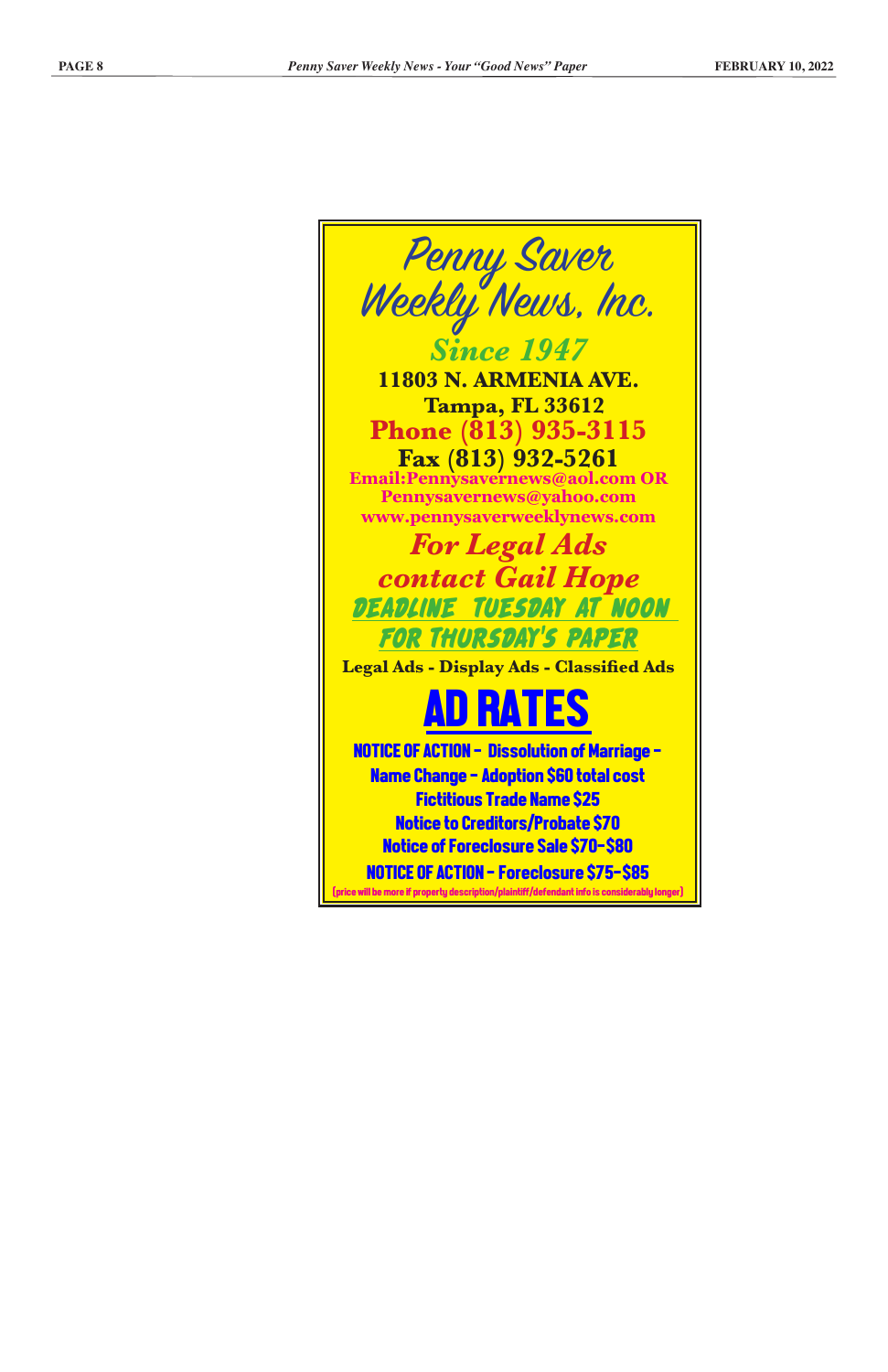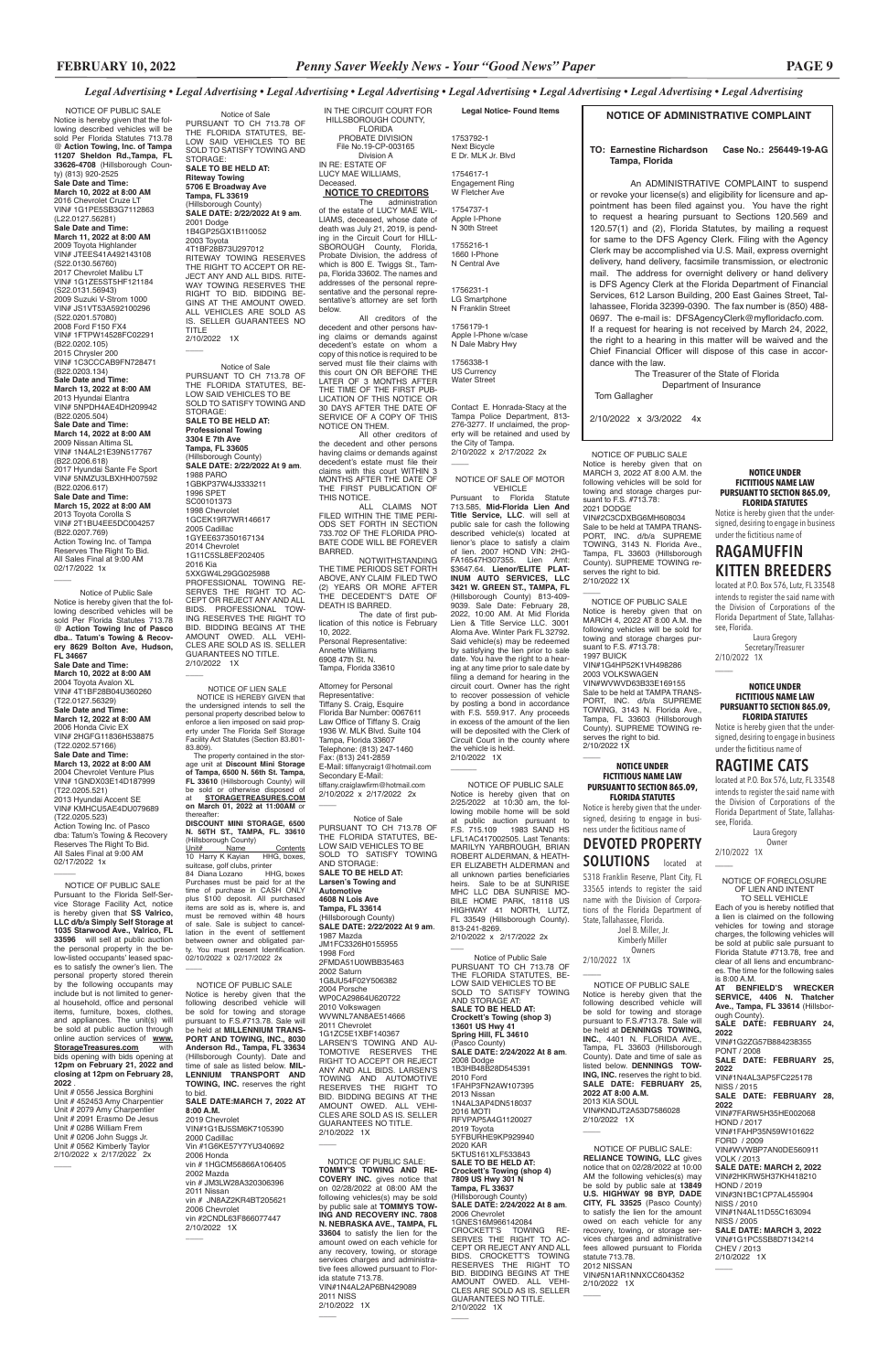### **NOTICE OF ADMINISTRATIVE COMPLAINT**

#### **TO: Earnestine Richardson Case No.: 256449-19-AG Tampa, Florida**

An ADMINISTRATIVE COMPLAINT to suspend or revoke your license(s) and eligibility for licensure and appointment has been filed against you. You have the right to request a hearing pursuant to Sections 120.569 and 120.57(1) and (2), Florida Statutes, by mailing a request for same to the DFS Agency Clerk. Filing with the Agency Clerk may be accomplished via U.S. Mail, express overnight delivery, hand delivery, facsimile transmission, or electronic mail. The address for overnight delivery or hand delivery is DFS Agency Clerk at the Florida Department of Financial Services, 612 Larson Building, 200 East Gaines Street, Tallahassee, Florida 32399-0390. The fax number is (850) 488- 0697. The e-mail is: DFSAgencyClerk@myfloridacfo.com. If a request for hearing is not received by March 24, 2022, the right to a hearing in this matter will be waived and the Chief Financial Officer will dispose of this case in accordance with the law.

 The Treasurer of the State of Florida Department of Insurance Tom Gallagher

2/10/2022 x 3/3/2022 4x

*Legal Advertising • Legal Advertising • Legal Advertising • Legal Advertising • Legal Advertising • Legal Advertising • Legal Advertising • Legal Advertising*

#### NOTICE OF FORECLOSURE OF LIEN AND INTENT

TO SELL VEHICLE Each of you is hereby notified that a lien is claimed on the following vehicles for towing and storage charges, the following vehicles will be sold at public sale pursuant to Florida Statute #713.78, free and clear of all liens and encumbrances. The time for the following sales is 8:00 A.M.

**AT BENFIELD'S WRECKER SERVICE, 4406 N. Thatcher Ave., Tampa, FL 33614** (Hillsborough County). **SALE DATE: FEBRUARY 24, 2022** VIN#1G2ZG57B884238355 PONT / 2008 **SALE DATE: FEBRUARY 25, 2022** VIN#1N4AL3AP5FC225178 NISS / 2015 **SALE DATE: FEBRUARY 28, 2022** VIN#7FARW5H35HE002068 HOND / 2017 VIN#1FAHP35N59W101622 FORD / 2009 VIN#WVWBP7AN0DE560911 VOLK / 2013 **SALE DATE: MARCH 2, 2022** VIN#2HKRW5H37KH418210 HOND / 2019 VIN#3N1BC1CP7AL455904 NISS / 2010 VIN#1N4AL11D55C163094 **NISS / 2005 SALE DATE: MARCH 3, 2022** VIN#1G1PC5SB8D7134214 CHEV / 2013 2/10/2022 1X

 $\overline{\phantom{a}}$ 

#### **NOTICE UNDER FICTITIOUS NAME LAW PURSUANT TO SECTION 865.09, FLORIDA STATUTES**

Notice is hereby given that the undersigned, desiring to engage in business under the fictitious name of

# **RAGAMUFFIN KITTEN BREEDERS**

located at P.O. Box 576, Lutz, FL 33548 intends to register the said name with the Division of Corporations of the Florida Department of State, Tallahassee, Florida.

Florida Bar Number: 0067611 Law Office of Tiffany S. Craig 1936 W. MLK Blvd. Suite 104 Tampa, Florida 33607 Telephone: (813) 247-1460 Fax: (813) 241-2859 E-Mail: tiffanycraig1@hotmail.com Secondary E-Mail: tiffany.craiglawfirm@hotmail.com 2/10/2022 x 2/17/2022 2x  $\overline{\phantom{a}}$ 

 Laura Gregory Secretary/Treasurer 2/10/2022 1X

 $\overline{\phantom{a}}$ 

 $\overline{\phantom{a}}$ 

#### NOTICE OF SALE OF MOTOR **VEHICLE**

#### **NOTICE UNDER FICTITIOUS NAME LAW PURSUANT TO SECTION 865.09, FLORIDA STATUTES**

Notice is hereby given that the undersigned, desiring to engage in business under the fictitious name of

# **RAGTIME CATS**

located at P.O. Box 576, Lutz, FL 33548 intends to register the said name with the Division of Corporations of the Florida Department of State, Tallahassee, Florida.

 Laura Gregory Owner 2/10/2022 1X

 NOTICE OF PUBLIC SALE Notice is hereby given that on MARCH 3, 2022 AT 8:00 A.M. the following vehicles will be sold for towing and storage charges pursuant to F.S. #713.78 2021 DODGE

VIN#2C3CDXBG6MH608034 Sale to be held at TAMPA TRANS-PORT, INC. d/b/a SUPREME TOWING, 3143 N. Florida Ave., Tampa, FL 33603 (Hillsborough County). SUPREME TOWING reserves the right to bid. 2/10/2022 1X

 $\overline{\phantom{a}}$ 

 $\overline{\phantom{a}}$ 

 NOTICE OF PUBLIC SALE Notice is hereby given that on 2/25/2022 at 10:30 am, the following mobile home will be sold at public auction pursuant to F.S. 715.109 1983 SAND HS LFL1AC417002505. Last Tenants: MARILYN YARBROUGH, BRIAN ROBERT ALDERMAN, & HEATH-ER ELIZABETH ALDERMAN and all unknown parties beneficiaries heirs. Sale to be at SUNRISE MHC LLC DBA SUNRISE MO-BILE HOME PARK, 18118 US HIGHWAY 41 NORTH, LUTZ, FL 33549 (Hillsborough County). 813-241-8269. 2/10/2022 x 2/17/2022 2x  $\overline{\phantom{a}}$ 

 NOTICE OF PUBLIC SALE Notice is hereby given that on MARCH 4, 2022 AT 8:00 A.M. the following vehicles will be sold for towing and storage charges pursuant to F.S. #713.78: 1997 BUICK VIN#1G4HP52K1VH498286 2003 VOLKSWAGEN VIN#WVWVD63B33E169155 Sale to be held at TAMPA TRANS-PORT, INC. d/b/a SUPREME TOWING, 3143 N. Florida Ave., Tampa, FL 33603 (Hillsborough County). SUPREME TOWING reserves the right to bid. 2/10/2022 1X

**Legal Notice- Found Items**

1753792-1 Next Bicycle E Dr. MLK Jr. Blvd 1754617-1 Engagement Ring

W Fletcher Ave 1754737-1 Apple I-Phone N 30th Street

Notice of Sale PURSUANT TO CH 713.78 OF THE FLORIDA STATUTES, BE-LOW SAID VEHICLES TO BE SOLD TO SATISFY TOWING AND STORAGE: **SALE TO BE HELD AT: Larsen's Towing and Automotive 4608 N Lois Ave Tampa, FL 33614** (Hillsborough County) **SALE DATE: 2/22/2022 At 9 am**. 1987 Mazda JM1FC3326H0155955 1998 Ford 2FMDA51U0WBB35463 2002 Saturn 1G8JU54F02Y506382 2004 Porsche WP0CA29864U620722 2010 Volks WVWNL7AN8AE514666 2011 Chevrolet 1G1ZC5E1XBF140367 LARSEN'S TOWING AND AU-TOMOTIVE RESERVES THE RIGHT TO ACCEPT OR REJECT ANY AND ALL BIDS. LARSEN'S TOWING AND AUTOMOTIVE RESERVES THE RIGHT TO BID. BIDDING BEGINS AT THE AMOUNT OWED. ALL VEHI-CLES ARE SOLD AS IS. SELLER GUARANTEES NO TITLE. 2/10/2022 1X  $\overline{\phantom{a}}$ 

 NOTICE OF PUBLIC SALE: **RELIANCE TOWING, LLC** gives notice that on 02/28/2022 at 10:00 AM the following vehicles(s) may be sold by public sale at **13849 U.S. HIGHWAY 98 BYP, DADE CITY, FL 33525** (Pasco County) to satisfy the lien for the amount owed on each vehicle for any recovery, towing, or storage services charges and administrative fees allowed pursuant to Florida statute 713.78. 2012 NISSAN VIN#5N1AR1NNXCC604352 2/10/2022 1X  $\overline{\phantom{a}}$  NOTICE OF PUBLIC SALE Notice is hereby given that the following described vehicle will be sold for towing and storage pursuant to F.S.#713.78. Sale will be held at **DENNINGS TOWING, INC.**, 4401 N. FLORIDA AVE., Tampa, FL 33603 (Hillsborough County). Date and time of sale as listed below. **DENNINGS TOW-ING, INC.** reserves the right to bid. **SALE DATE: FEBRUARY 25, 2022 AT 8:00 A.M.** 2013 KIA SOUL VIN#KNDJT2A53D7586028 2/10/2022 1X  $\overline{\phantom{a}}$ \_\_\_\_

1755216-1 1660 I-Phone N Central Ave

1756231-1 LG Smartphone N Franklin Street

1756179-1 Apple I-Phone w/case N Dale Mabry Hwy 1756338-1

US Currency Water Street

 $\overline{\phantom{a}}$ 

Contact E. Honrada-Stacy at the Tampa Police Department, 813- 276-3277. If unclaimed, the property will be retained and used by the City of Tampa. 2/10/2022 x 2/17/2022 2x

IN THE CIRCUIT COURT FOR HILLSBOROUGH COUNTY, FLORIDA PROBATE DIVISION File No.19-CP-003165 Division A IN RE: ESTATE OF LUCY MAE WILLIAMS, Deceased.

## **NOTICE TO CREDITORS**

The administration of the estate of LUCY MAE WIL-LIAMS, deceased, whose date of death was July 21, 2019, is pending in the Circuit Court for HILL-SBOROUGH County, Florida, Probate Division, the address of which is 800 E. Twiggs St., Tampa, Florida 33602. The names and addresses of the personal representative and the personal representative's attorney are set forth below.

GUARANTEES NO TITLE. 2/10/2022 1X  $\overline{\phantom{a}}$ 

> NOTICE OF PUBLIC SALE: **TOMMY'S TOWING AND RE-COVERY INC.** gives notice that on 02/28/2022 at 08:00 AM the following vehicles(s) may be sold by public sale at **TOMMYS TOW-ING AND RECOVERY INC. 7808 N. NEBRASKA AVE., TAMPA, FL 33604** to satisfy the lien for the amount owed on each vehicle for any recovery, towing, or storage services charges and administrative fees allowed pursuant to Florida statute 713.78. VIN#1N4AL2AP6BN429089 2011 NISS 2/10/2022 1X  $\overline{\phantom{a}}$

> All creditors of the decedent and other persons having claims or demands against decedent's estate on whom a copy of this notice is required to be served must file their claims with this court ON OR BEFORE THE LATER OF 3 MONTHS AFTER THE TIME OF THE FIRST PUB-LICATION OF THIS NOTICE OR 30 DAYS AFTER THE DATE OF SERVICE OF A COPY OF THIS NOTICE ON THEM.

All other creditors of the decedent and other persons having claims or demands against decedent's estate must file their claims with this court WITHIN 3 MONTHS AFTER THE DATE OF THE FIRST PUBLICATION OF THIS NOTICE.

The property contained in the storage unit at **Discount Mini Storage of Tampa, 6500 N. 56th St. Tampa, FL 33610** (Hillsborough County) will be sold or otherwise disposed of at **STORAGETREASURES.COM on March 01, 2022 at 11:00AM** or thereafter:

**DISCOUNT MINI STORAGE, 6500 N. 56TH ST., TAMPA, FL. 33610** (Hillsborough County)<br>Unit# Name

<u>Unit# Name Contents</u><br>10 Harry K Kayian HHG, boxes, suitcase, golf clubs, printer 84 Diana Lozano HHG, boxes Purchases must be paid for at the time of purchase in CASH ONLY plus \$100 deposit. All purchased items are sold as is, where is, and must be removed within 48 hours of sale. Sale is subject to cancellation in the event of settlement between owner and obligated party. You must present Identification. 02/10/2022 x 02/17/2022 2x  $\overline{\phantom{a}}$ 

ALL CLAIMS NOT FILED WITHIN THE TIME PERI-ODS SET FORTH IN SECTION 733.702 OF THE FLORIDA PRO-BATE CODE WILL BE FOREVER BARRED.

NOTWITHSTANDING THE TIME PERIODS SET FORTH ABOVE, ANY CLAIM FILED TWO (2) YEARS OR MORE AFTER THE DECEDENT'S DATE OF DEATH IS BARRED. The date of first pub-

NOTICE OF PUBLIC SALE Notice is hereby given that the following described vehicles will be sold Per Florida Statutes 713.78 @ **Action Towing, Inc. of Tampa 11207 Sheldon Rd.,Tampa, FL 33626-4708** (Hillsborough County) (813) 920-2525 **Sale Date and Time: March 10, 2022 at 8:00 AM** 2016 Chevrolet Cruze LT VIN# 1G1PE5SB3G7112863 (L22.0127.56281) **Sale Date and Time: March 11, 2022 at 8:00 AM** 2009 Toyota Highlander VIN# JTEES41A492143108 (S22.0130.56760) 2017 Chevrolet Malibu LT VIN# 1G1ZE5ST5HF121184 (S22.0131.56943) 2009 Suzuki V-Strom 1000 VIN# JS1VT53A592100296 (S22.0201.57080) 2008 Ford F150 FX4 VIN# 1FTPW14528FC02291 (B22.0202.105) 2015 Chrysler 200 VIN# 1C3CCCAB9FN728471 (B22.0203.134) **Sale Date and Time: March 13, 2022 at 8:00 AM** 2013 Hyundai Elantra VIN# 5NPDH4AE4DH209942 (B22.0205.504) **Sale Date and Time: March 14, 2022 at 8:00 AM** 2009 Nissan Altima SL VIN# 1N4AL21E39N517767 (B22.0206.618) 2017 Hyundai Sante Fe Sport VIN# 5NMZU3LBXHH007592 (B22.0206.617) **Sale Date and Time: March 15, 2022 at 8:00 AM** 2013 Toyota Corolla S VIN# 2T1BU4EE5DC004257 (B22.0207.769) Action Towing Inc. of Tampa Reserves The Right To Bid. All Sales Final at 9:00 AM 02/17/2022 1x  $\overline{\phantom{a}}$ 

> lication of this notice is February 10, 2022. Personal Representative: Annette Williams 6908 47th St. N. Tampa, Florida 33610

#### Attorney for Personal Representative: Tiffany S. Craig, Esquire

Pursuant to Florida Statute 713.585, **Mid-Florida Lien And Title Service, LLC**. will sell at public sale for cash the following described vehicle(s) located at lienor's place to satisfy a claim of lien. 2007 HOND VIN: 2HG-FA16547H307355. Lien Amt: \$3647.64. **Lienor/ELITE PLAT-INUM AUTO SERVICES, LLC 3421 W. GREEN ST., TAMPA, FL**  (Hillsborough County) 813-409- 9039. Sale Date: February 28, 2022, 10:00 AM. At Mid Florida Lien & Title Service LLC. 3001 Aloma Ave. Winter Park FL 32792. Said vehicle(s) may be redeemed by satisfying the lien prior to sale date. You have the right to a hearing at any time prior to sale date by filing a demand for hearing in the circuit court. Owner has the right to recover possession of vehicle by posting a bond in accordance with F.S. 559.917. Any proceeds in excess of the amount of the lien will be deposited with the Clerk of Circuit Court in the county where the vehicle is held. 2/10/2022 1X

items, furniture, boxes, clothes, and appliances. The unit(s) will be sold at public auction through online auction services of **www. StorageTreasures.com** with bids opening with bids opening at

#### \_\_\_\_\_\_ **NOTICE UNDER FICTITIOUS NAME LAW PURSUANT TO SECTION 865.09, FLORIDA STATUTES**

Notice is hereby given that the undersigned, desiring to engage in business under the fictitious name of

# **DEVOTED PROPERTY SOLUTIONS** located at

5318 Franklin Reserve, Plant City, FL 33565 intends to register the said name with the Division of Corporations of the Florida Department of State, Tallahassee, Florida.

Joel B. Miller, Jr.

 Kimberly Miller Owners 2/10/2022 1X

Notice of Public Sale PURSUANT TO CH 713.78 OF THE FLORIDA STATUTES, BE-LOW SAID VEHICLES TO BE SOLD TO SATISFY TOWING AND STORAGE AT: **SALE TO BE HELD AT: Crockett's Towing (shop 3) 13601 US Hwy 41 Spring Hill, FL 34610** (Pasco County) **SALE DATE: 2/24/2022 At 8 am**. 2008 Dodge 1B3HB48B28D545391 2010 Ford 1FAHP3FN2AW107395 2013 Nissan 1N4AL3AP4DN518037 2016 MOTI RFVPAP5A4G1120027 2019 Toyota 5YFBURHE9KP929940 2020 KAR 5KTUS161XLF533843 **SALE TO BE HELD AT: Crockett's Towing (shop 4) 7809 US Hwy 301 N Tampa, FL 33637** (Hillsborough County) **SALE DATE: 2/24/2022 At 8 am**. 2006 Chevrolet 1GNES16M966142084 CROCKETT'S TOWING RE-SERVES THE RIGHT TO AC-CEPT OR REJECT ANY AND ALL BIDS. CROCKETT'S TOWING RESERVES THE RIGHT TO BID. BIDDING BEGINS AT THE AMOUNT OWED. ALL VEHI-CLES ARE SOLD AS IS. SELLER GUARANTEES NO TITLE. 2/10/2022 1X

 $\overline{\phantom{a}}$ 

Notice of Sale PURSUANT TO CH 713.78 OF THE FLORIDA STATUTES, BE-LOW SAID VEHICLES TO BE SOLD TO SATISFY TOWING AND STORAGE: **SALE TO BE HELD AT: Riteway Towing 5706 E Broadway Ave Tampa, FL 33619** (Hillsborough County) **SALE DATE: 2/22/2022 At 9 am**. 2001 Dodge 1B4GP25GX1B110052 2003 Toyota 4T1BF28B73U297012 RITEWAY TOWING RESERVES THE RIGHT TO ACCEPT OR RE-JECT ANY AND ALL BIDS. RITE-WAY TOWING RESERVES THE RIGHT TO BID. BIDDING BE-GINS AT THE AMOUNT OWED. ALL VEHICLES ARE SOLD AS IS. SELLER GUARANTEES NO TITLE 2/10/2022 1X

 $\overline{\phantom{a}}$ 

Notice of Sale PURSUANT TO CH 713.78 OF THE FLORIDA STATUTES, BE-LOW SAID VEHICLES TO BE SOLD TO SATISFY TOWING AND STORAGE: **SALE TO BE HELD AT: Professional Towing 3304 E 7th Ave Tampa, FL 33605** sborough County) **SALE DATE: 2/22/2022 At 9 am**. 1988 PARO 1GBKP37W4J3333211 1996 SPET SC00101373 1998 Chevrolet 1GCEK19R7WR146617 2005 Cadillac 1GYEE637350167134 2014 Chevrolet 1G11C5SL8EF202405 2016 Kia 5XXGW4L29GG025988 PROFESSIONAL TOWING RE-SERVES THE RIGHT TO AC-CEPT OR REJECT ANY AND ALL BIDS. PROFESSIONAL TOW-ING RESERVES THE RIGHT TO BID. BIDDING BEGINS AT THE AMOUNT OWED. ALL VEHI-CLES ARE SOLD AS IS. SELLER

 NOTICE OF LIEN SALE NOTICE IS HEREBY GIVEN that the undersigned intends to sell the personal property described below to enforce a lien imposed on said prop-erty under The Florida Self Storage Facility Act Statutes (Section 83.801- 83.809).

 Notice of Public Sale Notice is hereby given that the following described vehicles will be sold Per Florida Statutes 713.78 @ **Action Towing Inc of Pasco dba.. Tatum's Towing & Recovery 8629 Bolton Ave, Hudson, FL 34667 Sale Date and Time: March 10, 2022 at 8:00 AM** 2004 Toyota Avalon XL VIN# 4T1BF28B04U360260 (T22.0127.56329) **Sale Date and Time: March 12, 2022 at 8:00 AM** 2006 Honda Civic EX VIN# 2HGFG11836H538875 (T22.0202.57166) **Sale Date and Time: March 13, 2022 at 8:00 AM** 2004 Chevrolet Venture Plus VIN# 1GNDX03E14D187999 (T22.0205.521) 2013 Hyundai Accent SE VIN# KMHCU5AE4DU079689 (T22.0205.523) Action Towing Inc. of Pasco dba: Tatum's Towing & Recovery Reserves The Right To Bid. All Sales Final at 9:00 AM 02/17/2022 1x  $\overline{\phantom{a}}$  NOTICE OF PUBLIC SALE Pursuant to the Florida Self-Service Storage Facility Act, notice

> NOTICE OF PUBLIC SALE Notice is hereby given that the following described vehicle will be sold for towing and storage pursuant to F.S.#713.78. Sale will be held at **MILLENNIUM TRANS-PORT AND TOWING, INC., 8030 Anderson Rd., Tampa, FL 33634** (Hillsborough County). Date and time of sale as listed below. **MIL-LENNIUM TRANSPORT AND TOWING, INC.** reserves the right to bid. **SALE DATE:MARCH 7, 2022 AT 8:00 A.M.** 2019 Chevrolet VIN#1G1BJ5SM6K7105390 2000 Cadillac Vin #1G6KE57Y7YU340692 2006 Honda vin # 1HGCM56866A106405 2002 Mazda vin # JM3LW28A320306396 2011 Nissan vin # JN8AZ2KR4BT205621 2006 Chevrolet vin #2CNDL63F866077447 2/10/2022 1X

 $\overline{\phantom{a}}$ 

is hereby given that **SS Valrico, LLC d/b/a Simply Self Storage at 1035 Starwood Ave., Valrico, FL 33596** will sell at public auction the personal property in the below-listed occupants' leased spaces to satisfy the owner's lien. The personal property stored therein by the following occupants may include but is not limited to general household, office and personal

**12pm on February 21, 2022 and closing at 12pm on February 28, 2022** .

Unit # 0556 Jessica Borghini Unit # 452453 Amy Charpentier Unit # 2079 Amy Charpentier Unit # 2091 Erasmo De Jesus Unit # 0286 William Frem Unit # 0206 John Suggs Jr. Unit # 0562 Kimberly Taylor 2/10/2022 x 2/17/2022 2x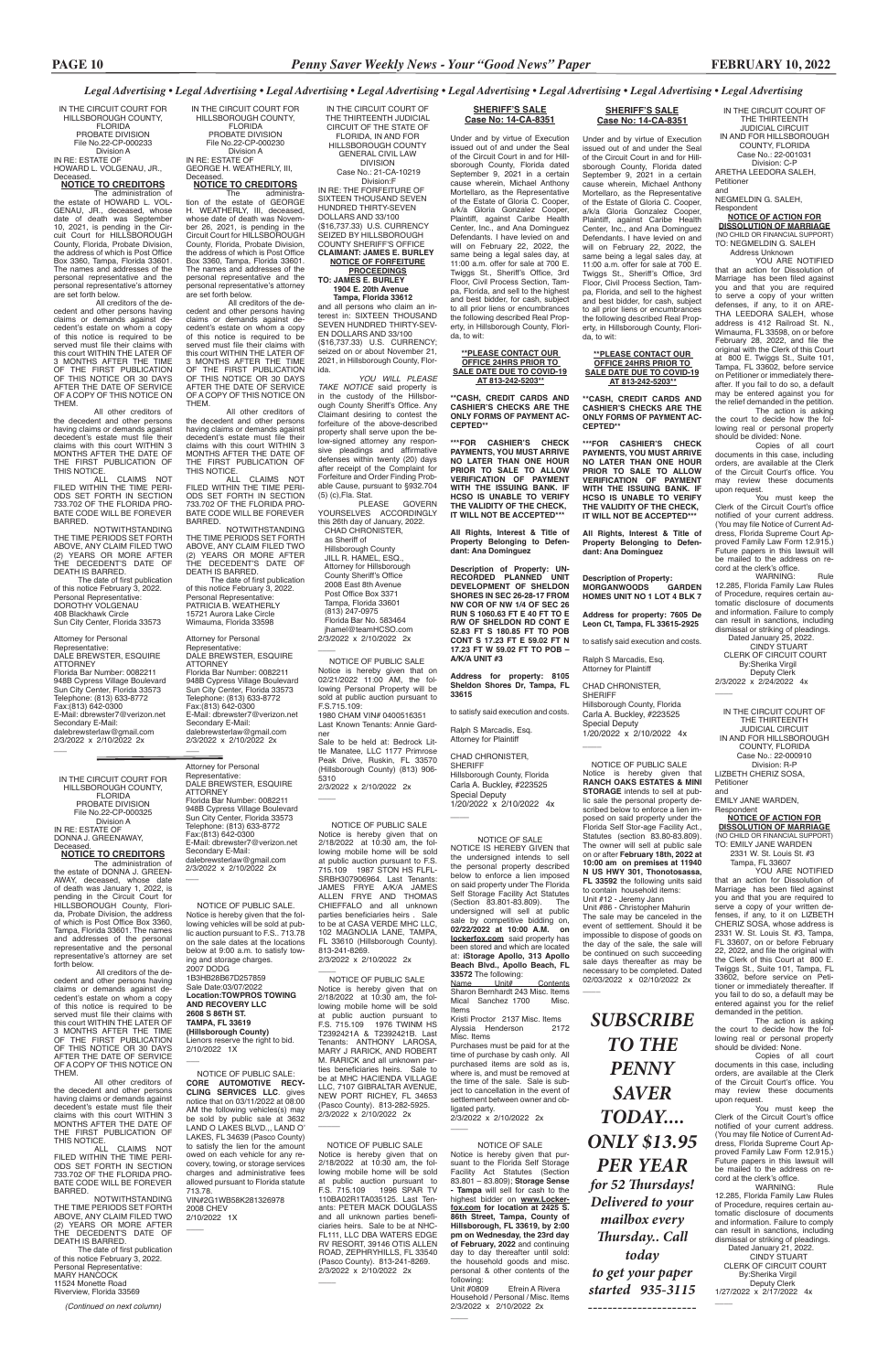IN THE CIRCUIT COURT OF THE THIRTEENTH JUDICIAL CIRCUIT OF THE STATE OF FLORIDA, IN AND FOR HILLSBOROUGH COUNTY GENERAL CIVIL LAW DIVISION Case No.: 21-CA-10219

 Division:F IN RE: THE FORFEITURE OF SIXTEEN THOUSAND SEVEN HUNDRED THIRTY-SEVEN DOLLARS AND 33/100 (\$16,737.33) U.S. CURRENCY SEIZED BY HILLSBOROUGH COUNTY SHERIFF'S OFFICE **CLAIMANT: JAMES E. BURLEY NOTICE OF FORFEITURE PROCEEDINGS**

**TO: JAMES E. BURLEY 1904 E. 20th Avenue**

 CHAD CHRONISTER, as Sheriff of Hillsborough County JILL R. HAMEL, ESQ., Attorney for Hillsborough County Sheriff's Office 2008 East 8th Avenue Post Office Box 3371 Tampa, Florida 33601 (813) 247-0975 Florida Bar No. 583464 jhamel@teamHCSO.com 2/3/2022 x 2/10/2022 2x  $\overline{\phantom{a}}$ 

 **Tampa, Florida 33612** and all persons who claim an interest in: SIXTEEN THOUSAND SEVEN HUNDRED THIRTY-SEV-EN DOLLARS AND 33/100 (\$16,737.33) U.S. CURRENCY; seized on or about November 21, 2021, in Hillsborough County, Florida.

*YOU WILL PLEASE TAKE NOTICE* said property is in the custody of the Hillsborough County Sheriff's Office. Any Claimant desiring to contest the forfeiture of the above-described property shall serve upon the below-signed attorney any responsive pleadings and affirmative defenses within twenty (20) days after receipt of the Complaint for Forfeiture and Order Finding Probable Cause, pursuant to §932.704 (5) (c),Fla. Stat.

PLEASE GOVERN YOURSELVES ACCORDINGLY this 26th day of January, 2022.

ALL CLAIMS NOT<br>-FILED WITHIN THE TIME PERI ODS SET FORTH IN SECTION 733.702 OF THE FLORIDA PRO-BATE CODE WILL BE FOREVER BARRED.

IN THE CIRCUIT COURT FOR HILLSBOROUGH COUNTY, FLORIDA PROBATE DIVISION File No.22-CP-000230 Division A IN RE: ESTATE OF

GEORGE H. WEATHERLY, III, Deceased. **NOTICE TO CREDITORS**

The administra-tion of the estate of GEORGE H. WEATHERLY, III, deceased, whose date of death was November 26, 2021, is pending in the Circuit Court for HILLSBOROUGH County, Florida, Probate Division, the address of which is Post Office Box 3360, Tampa, Florida 33601. The names and addresses of the personal representative and the personal representative's attorney

All other creditors of the decedent and other persons having claims or demands against decedent's estate must file their claims with this court WITHIN 3 MONTHS AFTER THE DATE OF THE FIRST PUBLICATION OF THIS NOTICE.

are set forth below. All creditors of the decedent and other persons having claims or demands against decedent's estate on whom a copy of this notice is required to be served must file their claims with this court WITHIN THE LATER OF 3 MONTHS AFTER THE TIME OF THE FIRST PUBLICATION OF THIS NOTICE OR 30 DAYS AFTER THE DATE OF SERVICE OF A COPY OF THIS NOTICE ON THEM.

NOTWITHSTANDING THE TIME PERIODS SET FORTH ABOVE, ANY CLAIM FILED TWO (2) YEARS OR MORE AFTER THE DECEDENT'S DATE OF DEATH IS BARRED.

 The date of first publication of this notice February 3, 2022. Personal Representative: DOROTHY VOLGENAU 408 Blackhawk Circle Sun City Center, Florida 33573

All other creditors of the decedent and other persons having claims or demands against decedent's estate must file their claims with this court WITHIN 3 MONTHS AFTER THE DATE OF THE FIRST PUBLICATION OF THIS NOTICE.

NOTWITHSTANDING THE TIME PERIODS SET FORTH ABOVE, ANY CLAIM FILED TWO (2) YEARS OR MORE AFTER THE DECEDENT'S DATE OF DEATH IS BARRED.

 The date of first publication of this notice February 3, 2022. Personal Representative: PATRICIA B. WEATHERLY 15721 Aurora Lake Circle Wimauma, Florida 33598

All other creditors of the decedent and other persons having claims or demands against decedent's estate must file their claims with this court WITHIN 3 MONTHS AFTER THE DATE OF THE FIRST PUBLICATION OF THIS NOTICE.

ALL CLAIMS NOT<br>-FILED WITHIN THE TIME PERI ODS SET FORTH IN SECTION 733.702 OF THE FLORIDA PRO-BATE CODE WILL BE FOREVER BARRED.

Attorney for Personal Representative: DALE BREWSTER, ESQUIRE **ATTORNEY** Florida Bar Number: 0082211 948B Cypress Village Boulevard Sun City Center, Florida 33573 Telephone: (813) 633-8772 Fax:(813) 642-0300 E-Mail: dbrewster7@verizon.net Secondary E-Mail: dalebrewsterlaw@gmail.com 2/3/2022 x 2/10/2022 2x \_\_\_

IN THE CIRCUIT COURT FOR HILLSBOROUGH COUNTY, **FLORIDA** PROBATE DIVISION File No.22-CP-000233 Division A IN RE: ESTATE OF HOWARD L. VOLGENAU, JR.,

# Deceased. **NOTICE TO CREDITORS**

The administration of the estate of HOWARD L. VOL-GENAU, JR., deceased, whose date of death was September 10, 2021, is pending in the Cir-cuit Court for HILLSBOROUGH County, Florida, Probate Division, the address of which is Post Office Box 3360, Tampa, Florida 33601. The names and addresses of the personal representative and the personal representative's attorney

are set forth below. All creditors of the decedent and other persons having claims or demands against decedent's estate on whom a copy of this notice is required to be served must file their claims with this court WITHIN THE LATER OF 3 MONTHS AFTER THE TIME OF THE FIRST PUBLICATION OF THIS NOTICE OR 30 DAYS AFTER THE DATE OF SERVICE OF A COPY OF THIS NOTICE ON THEM.

ALL CLAIMS NOT FILED WITHIN THE TIME PERI-ODS SET FORTH IN SECTION 733.702 OF THE FLORIDA PRO-BATE CODE WILL BE FOREVER BARRED.

Attorney for Personal Representative: DALE BREWSTER, ESQUIRE **ATTORNEY** Florida Bar Number: 0082211 948B Cypress Village Boulevard Sun City Center, Florida 33573 Telephone: (813) 633-8772 Fax:(813) 642-0300 E-Mail: dbrewster7@verizon.net Secondary E-Mail: dalebrewsterlaw@gmail.com 2/3/2022 x 2/10/2022 2x

> CHAD CHRONISTER, SHERIFF Hillsborough County, Florida Carla A. Buckley, #223525 Special Deputy 1/20/2022 x 2/10/2022 4x  $\overline{\phantom{a}}$

\_\_\_

IN THE CIRCUIT COURT FOR HILLSBOROUGH COUNTY, FLORIDA PROBATE DIVISION File No.22-CP-000325 Division A IN RE: ESTATE OF DONNA J. GREENAWAY,

Deceased. **NOTICE TO CREDITORS**

The administration of the estate of DONNA J. GREEN-AWAY, deceased, whose date of death was January 1, 2022, is pending in the Circuit Court for HILLSBOROUGH County, Florida, Probate Division, the address of which is Post Office Box 3360, Tampa, Florida 33601. The names and addresses of the personal representative and the personal representative's attorney are set forth below.

 All creditors of the decedent and other persons having claims or demands against decedent's estate on whom a copy of this notice is required to be

WARNING: Rule 12.285, Florida Family Law Rules of Procedure, requires certain automatic disclosure of documents and information. Failure to comply can result in sanctions, including dismissal or striking of pleadings.

NOTICE OF SALE Notice is hereby given that pursuant to the Florida Self Storage Facility Act Statutes (Section 83.801 – 83.809); **Storage Sense - Tampa** will sell for cash to the highest bidder on **www.Locker-fox.com for location at 2425 S. 86th Street, Tampa, County of Hillsborough, FL 33619, by 2:00 pm on Wednesday, the 23rd day of February, 2022** and continuing day to day thereafter until sold: the household goods and misc. personal & other contents of the following:<br>Unit #0809

NOTWITHSTANDING THE TIME PERIODS SET FORTH ABOVE, ANY CLAIM FILED TWO (2) YEARS OR MORE AFTER THE DECEDENT'S DATE OF DEATH IS BARRED.

 The date of first publication of this notice February 3, 2022. Personal Representative: MARY HANCOCK 11524 Monette Road Riverview, Florida 33569

Efrein A Rivera Household / Personal / Misc. Items 2/3/2022 x 2/10/2022 2x

 $\overline{\phantom{a}}$ 

 $\overline{\phantom{a}}$ 

*(Continued on next column)* 

Attorney for Personal Representative: DALE BREWSTER, ESQUIRE ATTORNEY Florida Bar Number: 0082211 948B Cypress Village Boulevard Sun City Center, Florida 33573 Telephone: (813) 633-8772 Fax:(813) 642-0300 E-Mail: dbrewster7@verizon.net Secondary E-Mail: dalebrewsterlaw@gmail.com 2/3/2022 x 2/10/2022 2x

 $\overline{\phantom{a}}$ 

 $\overline{\phantom{a}}$ 

 $\overline{\phantom{a}}$ 

Kristi Proctor 2137 Misc. Items<br>Alvssia Henderson 2172 Alyssia Henderson Misc. Items

### **SHERIFF'S SALE Case No: 14-CA-8351**

Under and by virtue of Execution issued out of and under the Seal of the Circuit Court in and for Hillsborough County, Florida dated September 9, 2021 in a certain cause wherein, Michael Anthony Mortellaro, as the Representative of the Estate of Gloria C. Cooper, a/k/a Gloria Gonzalez Cooper, Plaintiff, against Caribe Health Center, Inc., and Ana Dominguez Defendants. I have levied on and will on February 22, 2022, the same being a legal sales day, at 11:00 a.m. offer for sale at 700 E. Twiggs St., Sheriff's Office, 3rd Floor, Civil Process Section, Tampa, Florida, and sell to the highest and best bidder, for cash, subject to all prior liens or encumbrances the following described Real Property, in Hillsborough County, Florida, to wit:

 $\overline{\phantom{a}}$  NOTICE OF PUBLIC SALE Notice is hereby given that on 2/18/2022 at 10:30 am, the following mobile home will be sold at public auction pursuant to F.S. 715.109 1976 TWINM HS T2392421A & T2392421B. Last Tenants: ANTHONY LAROSA, MARY J RARICK, AND ROBERT M. RARICK and all unknown parties beneficiaries heirs. Sale to be at MHC HACIENDA VILLAGE LLC, 7107 GIBRALTAR AVENUE, NEW PORT RICHEY, FL 34653 (Pasco County). 813-282-5925. 2/3/2022 x 2/10/2022 2x

 $\overline{\phantom{a}}$ 

 $\overline{\phantom{a}}$ 

#### **\*\*PLEASE CONTACT OUR OFFICE 24HRS PRIOR TO SALE DATE DUE TO COVID-19 AT 813-242-5203\*\***

**\*\*CASH, CREDIT CARDS AND CASHIER'S CHECKS ARE THE ONLY FORMS OF PAYMENT AC-CEPTED\*\***

**\*\*\*FOR CASHIER'S CHECK PAYMENTS, YOU MUST ARRIVE NO LATER THAN ONE HOUR PRIOR TO SALE TO ALLOW VERIFICATION OF PAYMENT WITH THE ISSUING BANK. IF HCSO IS UNABLE TO VERIFY THE VALIDITY OF THE CHECK, IT WILL NOT BE ACCEPTED\*\*\***

> Respondent<br>**NOTICE OF ACTION FOR<br>DISSOLUTION OF MARRIAGE** (NO CHILD OR FINANCIAL SUPPORT)

**All Rights, Interest & Title of Property Belonging to Defendant: Ana Dominguez**

**Description of Property: MORGANWOODS GARDEN HOMES UNIT NO 1 LOT 4 BLK 7**

**Address for property: 7605 De Leon Ct, Tampa, FL 33615-2925**

to satisfy said execution and costs.

Ralph S Marcadis, Esq. Attorney for Plaintiff

CHAD CHRONISTER, **SHERIFF** Hillsborough County, Florida Carla A. Buckley, #223525 Special Deputy 1/20/2022 x 2/10/2022 4x

 $\overline{\phantom{a}}$ 

#### **SHERIFF'S SALE Case No: 14-CA-8351**

You must keep the<br>Clerk of the Circuit Court's office notified of your current address. (You may file Notice of Current Address, Florida Supreme Court Approved Family Law Form 12.915.) Future papers in this lawsuit will be mailed to the address on record at the clerk's office.

WARNING: Rule 12.285, Florida Family Law Rules of Procedure, requires certain automatic disclosure of documents and information. Failure to comply can result in sanctions, including dismissal or striking of pleadings. Dated January 21, 2022. CINDY STUART CLERK OF CIRCUIT COURT By:Sherika Virgil Deputy Clerk 1/27/2022 x 2/17/2022 4x  $\overline{\phantom{a}}$ 

Under and by virtue of Execution issued out of and under the Seal of the Circuit Court in and for Hillsborough County, Florida dated September 9, 2021 in a certain cause wherein, Michael Anthony Mortellaro, as the Representative of the Estate of Gloria C. Cooper, a/k/a Gloria Gonzalez Cooper Plaintiff, against Caribe Health Center, Inc., and Ana Dominguez Defendants. I have levied on and will on February 22, 2022, the same being a legal sales day, at 11:00 a.m. offer for sale at 700 E. Twiggs St., Sheriff's Office, 3rd Floor, Civil Process Section, Tampa, Florida, and sell to the highest and best bidder, for cash, subject to all prior liens or encumbrances the following described Real Property, in Hillsborough County, Florida, to wit:

NOTICE OF PUBLIC SALE:<br>CORE AUTOMOTIVE REC **AUTOMOTIVE RECY-CLING SERVICES LLC**. gives notice that on 03/11/2022 at 08:00 AM the following vehicles(s) may be sold by public sale at 3632 LAND O LAKES BLVD.,, LAND O' LAKES, FL 34639 (Pasco County) to satisfy the lien for the amount owed on each vehicle for any recovery, towing, or storage services charges and administrative fees allowed pursuant to Florida statute 713.78. VIN#2G1WB58K281326978

**\*\*PLEASE CONTACT OUR OFFICE 24HRS PRIOR TO SALE DATE DUE TO COVID-19 AT 813-242-5203\*\***

**\*\*CASH, CREDIT CARDS AND CASHIER'S CHECKS ARE THE ONLY FORMS OF PAYMENT AC-CEPTED\*\***

**\*\*\*FOR CASHIER'S CHECK PAYMENTS, YOU MUST ARRIVE NO LATER THAN ONE HOUR PRIOR TO SALE TO ALLOW VERIFICATION OF PAYMENT WITH THE ISSUING BANK. IF HCSO IS UNABLE TO VERIFY THE VALIDITY OF THE CHECK, IT WILL NOT BE ACCEPTED\*\*\***

**All Rights, Interest & Title of Property Belonging to Defendant: Ana Dominguez**

**Description of Property: UN-RECORDED PLANNED UNIT DEVELOPMENT OF SHELDON SHORES IN SEC 26-28-17 FROM NW COR OF NW 1/4 OF SEC 26 RUN S 1060.63 FT E 40 FT TO E R/W OF SHELDON RD CONT E 52.83 FT S 180.85 FT TO POB CONT S 17.23 FT E 59.02 FT N 17.23 FT W 59.02 FT TO POB – A/K/A UNIT #3**

**Address for property: 8105 Sheldon Shores Dr, Tampa, FL 33615**

to satisfy said execution and costs.

Ralph S Marcadis, Esq. Attorney for Plaintiff

IN THE CIRCUIT COURT OF THE THIRTEENTH JUDICIAL CIRCUIT IN AND FOR HILLSBOROUGH COUNTY, FLORIDA Case No.: 22-001031 Division: C-P ARETHA LEEDORA SALEH,

Petitioner

and NEGMELDIN G. SALEH, Respondent

**NOTICE OF ACTION FOR DISSOLUTION OF MARRIAGE** (NO CHILD OR FINANCIAL SUPPORT) TO: NEGMELDIN G. SALEH

Address Unknown YOU ARE NOTIFIED

that an action for Dissolution of Marriage has been filed against you and that you are required to serve a copy of your written defenses, if any, to it on ARE-THA LEEDORA SALEH, whose address is 412 Railroad St. N., Wimauma, FL 33598, on or before February 28, 2022, and file the original with the Clerk of this Court at 800 E. Twiggs St., Suite 101, Tampa, FL 33602, before service on Petitioner or immediately thereafter. If you fail to do so, a default may be entered against you for the relief demanded in the petition. The action is asking

the court to decide how the following real or personal property should be divided: None.

Copies of all court documents in this case, including orders, are available at the Clerk of the Circuit Court's office. You may review these documents upon request.

You must keep the Clerk of the Circuit Court's office notified of your current address. (You may file Notice of Current Address, Florida Supreme Court Ap-proved Family Law Form 12.915.) Future papers in this lawsuit will be mailed to the address on record at the clerk's office.

 Dated January 25, 2022. CINDY STUART CLERK OF CIRCUIT COURT By:Sherika Virgil Deputy Clerk 2/3/2022 x 2/24/2022 4x

 NOTICE OF PUBLIC SALE Notice is hereby given that **RANCH OAKS ESTATES & MINI STORAGE** intends to sell at public sale the personal property described below to enforce a lien imposed on said property under the Florida Self Stor-age Facility Act., Statutes (section 83.80-83.809). The owner will sell at public sale on or after **February 18th, 2022 at 10:00 am on premises at 11940 N US HWY 301, Thonotosassa, FL 33592** the following units said to contain household items: Unit #12 - Jeremy Jann Unit #86 - Christopher Mahurin

The sale may be canceled in the event of settlement. Should it be impossible to dispose of goods on the day of the sale, the sale will be continued on such succeeding sale days thereafter as may be necessary to be completed. Dated 02/03/2022 x 02/10/2022 2x  $\overline{\phantom{a}}$ 

NOTICE OF SALE NOTICE IS HEREBY GIVEN that the undersigned intends to sell the personal property described below to enforce a lien imposed on said property under The Florida Self Storage Facility Act Statutes (Section 83.801-83.809). The undersigned will sell at public sale by competitive bidding on, **02/22/2022 at 10:00 A.M. on lockerfox.com** said property has been stored and which are located at: **iStorage Apollo, 313 Apollo Beach Blvd., Apollo Beach, FL 33572** The following:<br>Name Unit# Name Unit# Contents

Sharon Bernhardt 243 Misc. Items Mical Sanchez 1700 Misc.

Items

Purchases must be paid for at the time of purchase by cash only. All purchased items are sold as is. where is, and must be removed at the time of the sale. Sale is subject to cancellation in the event of settlement between owner and obligated party. 2/3/2022 x 2/10/2022 2x

 NOTICE OF PUBLIC SALE Notice is hereby given that on 02/21/2022 11:00 AM, the following Personal Property will be sold at public auction pursuant to F.S.715.109: 1980 CHAM VIN# 0400516351 Last Known Tenants: Annie Gardner Sale to be held at: Bedrock Little Manatee, LLC 1177 Primrose Peak Drive, Ruskin, FL 33570 (Hillsborough County) (813) 906-

5310

 $\overline{\phantom{a}}$ 

2/3/2022 x 2/10/2022 2x

 NOTICE OF PUBLIC SALE Notice is hereby given that on 2/18/2022 at 10:30 am, the following mobile home will be sold at public auction pursuant to F.S. 715.109 1987 STON HS FLFL-SRBH307906964. Last Tenants: JAMES FRYE A/K/A JAMES ALLEN FRYE AND THOMAS CHIEFFALO and all unknown<br>parties beneficiaries heirs . Sale parties beneficiaries heirs. to be at CASA VERDE MHC LLC, 102 MAGNOLIA LANE, TAMPA, FL 33610 (Hillsborough County). 813-241-8269. 2/3/2022 x 2/10/2022 2x

 NOTICE OF PUBLIC SALE Notice is hereby given that on 2/18/2022 at 10:30 am, the following mobile home will be sold at public auction pursuant to F.S. 715.109 1996 SPAR TV 110BA02R1TA035125. Last Tenants: PETER MACK DOUGLASS and all unknown parties beneficiaries heirs. Sale to be at NHC-FL111, LLC DBA WATERS EDGE RV RESORT, 39146 OTIS ALLEN ROAD, ZEPHRYHILLS, FL 33540 (Pasco County). 813-241-8269. 2/3/2022 x 2/10/2022 2x

IN THE CIRCUIT COURT OF THE THIRTEENTH

JUDICIAL CIRCUIT IN AND FOR HILLSBOROUGH

COUNTY, FLORIDA Case No.: 22-000910 Division: R-P

LIZBETH CHERIZ SOSA,

Petitioner and

 $\overline{\phantom{a}}$ 

EMILY JANE WARDEN,

TO: EMILY JANE WARDEN 2331 W. St. Louis St. #3

 Tampa, FL 33607 YOU ARE NOTIFIED that an action for Dissolution of Marriage has been filed against you and that you are required to serve a copy of your written defenses, if any, to it on LIZBETH CHERIZ SOSA, whose address is 2331 W. St. Louis St. #3, Tampa, FL 33607, on or before February 22, 2022, and file the original with the Clerk of this Court at 800 E. Twiggs St., Suite 101, Tampa, FL 33602, before service on Peti-tioner or immediately thereafter. If you fail to do so, a default may be

served must file their claims with this court WITHIN THE LATER OF 3 MONTHS AFTER THE TIME OF THE FIRST PUBLICATION OF THIS NOTICE OR 30 DAYS AFTER THE DATE OF SERVICE OF A COPY OF THIS NOTICE ON THEM.

entered against you for the relief demanded in the petition.

The action is asking the court to decide how the following real or personal property should be divided: None.

Copies of all court documents in this case, including orders, are available at the Clerk of the Circuit Court's office. You may review these documents upon request.

 NOTICE OF PUBLIC SALE. Notice is hereby given that the following vehicles will be sold at public auction pursuant to F.S.. 713.78 on the sale dates at the locations below at 9:00 a.m. to satisfy towing and storage charges. 2007 DODG 1B3HB28B67D257859 Sale Date:03/07/2022 **Location:TOWPROS TOWING AND RECOVERY LLC**

**2608 S 86TH ST. TAMPA, FL 33619 (Hillsborough County)** Lienors reserve the right to bid. 2/10/2022 1X

2008 CHEV 2/10/2022 1X *SUBSCRIBE* 

# *TO THE*

# *PENNY SAVER TODAY....*

*ONLY \$13.95 PER YEAR for 52 Thursdays! Delivered to your mailbox every Thursday.. Call today to get your paper started 935-3115*

*----------------------*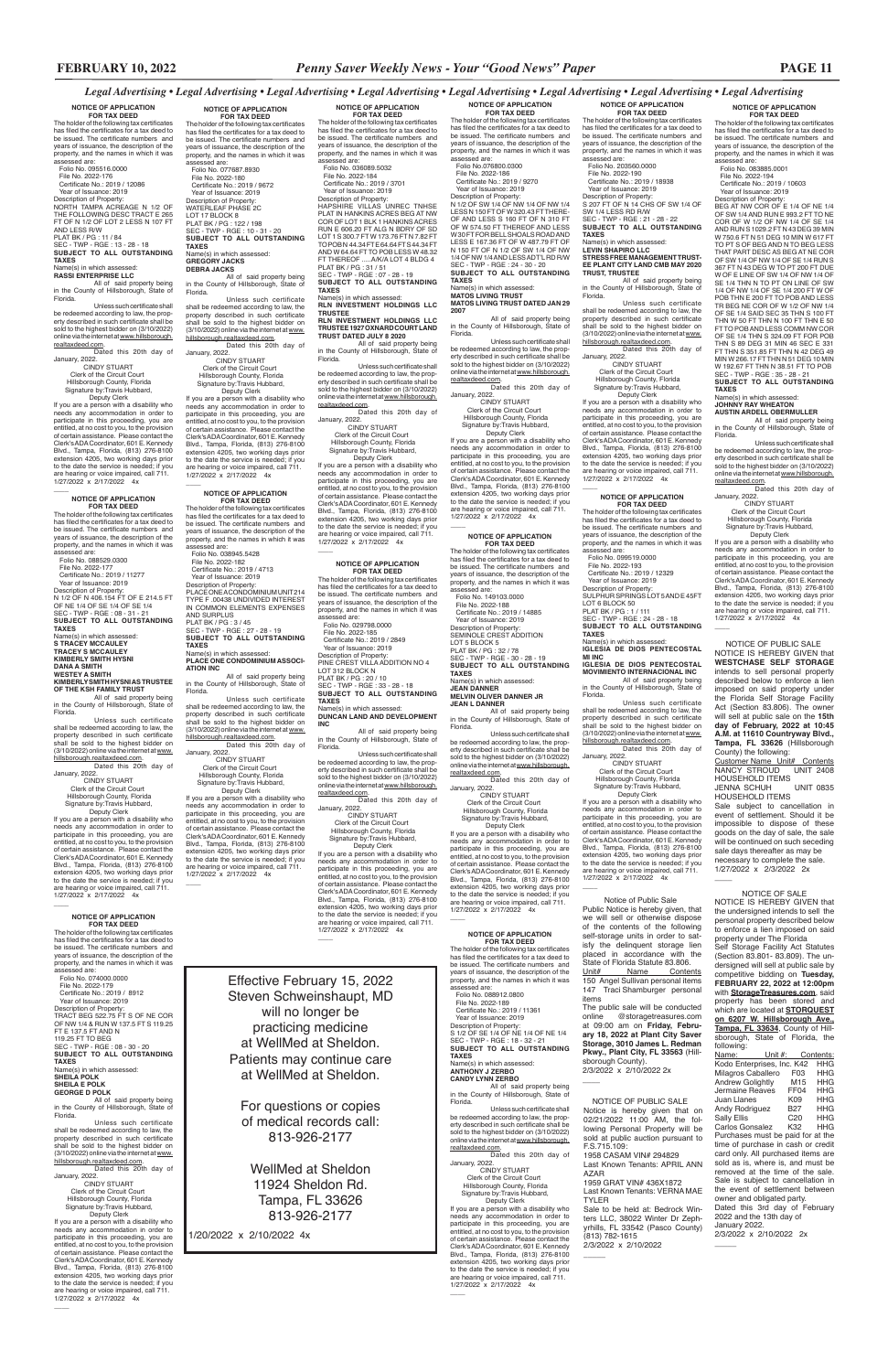**NOTICE OF APPLICATION FOR TAX DEED** The holder of the following tax certificates has filed the certificates for a tax deed to be issued. The certificate numbers and years of issuance, the description of the property, and the names in which it was

assessed are: Folio No. 083885.0001 File No. 2022-194 Certificate No.: 2019 / 10603 Year of Issuance: 2019

Description of Property: BEG AT NW COR OF E 1/4 OF NE 1/4 OF SW 1/4 AND RUN E 993.2 FT TO NE COR OF W 1/2 OF NW 1/4 OF SE 1/4 AND RUN S 1029.2 FT N 43 DEG 39 MIN W 750.6 FT N 51 DEG 10 MIN W 617 FT TO PT S OF BEG AND N TO BEG LESS THAT PART DESC AS BEG AT NE COR OF SW 1/4 OF NW 1/4 OF SE 1/4 RUN S

367 FT N 43 DEG W TO PT 200 FT DUE W OF E LINE OF SW 1/4 OF NW 1/4 OF SE 1/4 THN N TO PT ON LINE OF SW 1/4 OF NW 1/4 OF SE 1/4 200 FT W OF POB THN E 200 FT TO POB AND LESS TR BEG NE COR OF W 1/2 OF NW 1/4 OF SE 1/4 SAID SEC 35 THN S 100 FT THN W 50 FT THN N 100 FT THN E 50 FT TO POB AND LESS COMM NW COR OF SE 1/4 THN S 324.09 FT FOR POB THN S 89 DEG 31 MIN 46 SEC E 331 FT THN S 351.85 FT THN N 42 DEG 49 MIN W 266.17 FT THN N 51 DEG 10 MIN W 192.67 FT THN N 38.51 FT TO POB SEC - TWP - RGE : 35 - 28 - 21 **SUBJECT TO ALL OUTSTANDING TAXES** Name(s) in which assessed: **JOHNNY RAY WHEATON**

**AUSTIN ARDELL OBERMULLER** All of said property being in the County of Hillsborough, State of

Florida.

Unless such certificate shall be redeemed according to law, the property described in such certificate shall be sold to the highest bidder on (3/10/2022) online via the internet at www.hillsborough. realtaxdeed.com. Dated this 20th day of

January, 2022.

 $\overline{\phantom{a}}$ 

CINDY STUART Clerk of the Circuit Court Hillsborough County, Florida Signature by:Travis Hubbard, Deputy Clerk

**NOTICE OF APPLICATION FOR TAX DEED** The holder of the following tax certificates has filed the certificates for a tax deed to be issued. The certificate numbers and years of issuance, the description of the property, and the names in which it was assessed are: Folio No. 203560.0000 File No. 2022-190 Certificate No.: 2019 / 18938 Year of Issuance: 2019 Description of Property:<br>S 207 FT OF N 14 CHS OF SW 1/4 OF<br>SW 1/4 LESS RD R/W<br>SEC - TWP - RGE : 21 - 28 - 22

> If you are a person with a disability who needs any accommodation in order to participate in this proceeding, you are entitled, at no cost to you, to the provision of certain assistance. Please contact the<br>Clerk's ADA Coordinator 601 E. Kennedy Clerk's ADA Coordinator, 601 E. Kennedy Blvd., Tampa, Florida, (813) 276-8100 extension 4205, two working days prior to the date the service is needed; if you are hearing or voice impaired, call 711. 1/27/2022 x 2/17/2022 4x

 Deputy Clerk If you are a person with a disability who needs any accommodation in order to participate in this proceeding, you are entitled, at no cost to you, to the provision of certain assistance. Please contact the Clerk's ADA Coordinator, 601 E. Kennedy Blvd., Tampa, Florida, (813) 276-8100 extension 4205, two working days prior to the date the service is needed; if you are hearing or voice impaired, call 711. 1/27/2022 x 2/17/2022 4x  $\overline{\phantom{a}}$ 

**NOTICE OF APPLICATION FOR TAX DEED** The holder of the following tax certificates has filed the certificates for a tax deed to be issued. The certificate numbers and years of issuance, the description of the property, and the names in which it was assessed are: Folio No. 099519.0000 File No. 2022-193<br>Certificate No.: 2019 / 12329 Certificate No.: 2019 / 12329 Year of Issuance: 2019 Description of Property: SULPHUR SPRINGS LOT 5 AND E 45FT LOT 6 BLOCK 50 PLAT BK / PG : 1 / 111 SEC - TWP - RGE : 24 - 28 - 18 **SUBJECT TO ALL OUTSTANDING TAXES** Name(s) in which assessed: **IGLESIA DE DIOS PENTECOSTAL** 

**MI INC IGLESIA DE DIOS PENTECOSTAL MOVIMIENTO INTERNACIONAL INC**

All of said property being in the County of Hillsborough, State of Florida.

Unless such certificate shall be redeemed according to law, the property described in such certificate<br>shall be sold to the highest bidder on<br>(3/10/2022) online via the internet at <u>www.</u> hillsborough.realtaxdeed.com.

Dated this 20th day of January, 2022. CINDY STUART Clerk of the Circuit Court

 Hillsborough County, Florida Signature by:Travis Hubbard, Deputy Clerk

**FOR TAX DEED**<br>The holder of the following tax certificates<br>has filed the certificates for a tax deed to be issued. The certificate numbers and years of issuance, the description of the property, and the names in which it was assessed are: Folio No. 149103.0000

> If you are a person with a disability who needs any accommodation in order to participate in this proceeding, you are entitled, at no cost to you, to the provision of certain assistance. Please contact the<br>Clerk's ADA Coordinator, 601 E. Kennedy Clerk's ADA Coordinator, 601 E. Kennedy Blvd., Tampa, Florida, (813) 276-8100 extension 4205, two working days prior to the date the service is needed; if you are hearing or voice impaired, call 711. 1/27/2022 x 2/17/2022 4x \_\_\_\_

Name(s) in which assessed:<br>JEAN DANNER **JEAN DANNER MELVIN OLIVER DANNER JR JEAN L DANNER**

 Clerk of the Circuit Court Hillsborough County, Florida Signature by:Travis Hubbard, Deputy Clerk

 File No. 2022-186 Certificate No.: 2019 / 9270 Year of Issuance: 2019 Description of Property:<br>N 1/2 OF SW 1/4 OF NW 1/4 OF NW 1/4<br>LESS N 150 FT OF W 320.43 FT THERE-<br>OF AND LESS S 160 FT OF N 310 FT

**SUBJECT TO ALL OUTSTANDING TAXES** Name(s) in which assessed:

**LEVIN SHAPIRO LLC STRESS FREE MANAGEMENT TRUST-EE PLANT CITY LAND CMB MAY 2020 TRUST, TRUSTEE**

All of said property being in the County of Hillsborough, State of Florida.

Unless such certificate shall be redeemed according to law, the property described in such certificate shall be sold to the highest bidder on (3/10/2022) online via the internet at www. hillsborough.realtaxdeed.com. Dated this 20th day of

January, 2022. CINDY STUART

Clerk of the Circuit Court Hillsborough County, Florida Signature by:Travis Hubbard,

**FOR TAX DEED**<br>The holder of the following tax certificates has filed the certificates for a tax deed to be issued. The certificate numbers and years of issuance, the description of the property, and the names in which it was .<br>sessed are: Folio No. 029798.0000 File No. 2022-185 Certificate No.: 2019 / 2849 Year of Issuance: 2019 Description of Property: PINE CREST VILLA ADDITION NO 4 LOT 312 BLOCK N PLAT BK / PG : 20 / 10 SEC - TWP - RGE : 33 - 28 - 18 **SUBJECT TO ALL OUTSTANDING** 

 Signature by:Travis Hubbard, Deputy Clerk

> **NOTICE OF APPLICATION FOR TAX DEED** The holder of the following tax certificates has filed the certificates for a tax deed to be issued. The certificate numbers and years of issuance, the description of the

 $\overline{\phantom{a}}$ 

property, and the names in which it was assessed are: Folio No. 088912.0800

File No. 2022-189<br>Certificate No.: 2019 / 11361

 Certificate No.: 2019 / 11361 Year of Issuance: 2019 Description of Property: S 1/2 OF SE 1/4 OF NE 1/4 OF NE 1/4 SEC - TWP - RGE : 18 - 32 - 21 **SUBJECT TO ALL OUTSTANDING TAXES** Name(s) in which assessed:

**ANTHONY J ZERBO CANDY LYNN ZERBO**

All of said property being in the County of Hillsborough, State of Florida.

TO POBN 44.34 FT E 64.64 FT S 44.34 FT<br>AND W 64.64 FT TO POB LESS W 48.32<br>FT THEREOF .....A/K/A LOT 4 BLDG 4<br>PLAT BK / PG : 31 / 51 SEC - TWP - RGE : 07 - 28 - 19 **SUBJECT TO ALL OUTSTANDING** 

> Unless such certificate shall be redeemed according to law, the property described in such certificate shall be sold to the highest bidder on (3/10/2022)<br>online via the internet at <u>www.hillsborough.</u> realtaxdeed.com. Dated this 20th day of

January, 2022.

 CINDY STUART Clerk of the Circuit Court Hillsborough County, Florida Signature by:Travis Hubbard, Deputy Clerk

<u>sem</u>.<br>Dated this 20th day of January, 2022. CINDY STUART

> If you are a person with a disability who needs any accommodation in order to participate in this proceeding, you are entitled, at no cost to you, to the provision of certain assistance. Please contact the Clerk's ADA Coordinator, 601 E. Kennedy Blvd., Tampa, Florida, (813) 276-8100 extension 4205, two working days prior to the date the service is needed; if you are hearing or voice impaired, call 711. 1/27/2022 x 2/17/2022 4x

 $\overline{\phantom{a}}$ 

#### **NOTICE OF APPLICATION**

 $\overline{\phantom{a}}$ 

 File No. 2022-188 Certificate No.: 2019 / 14885 Year of Issuance: 2019

Description of Property: SEMINOLE CREST ADDITION LOT 5 BLOCK 5 PLAT BK / PG : 32 / 78 SEC - TWP - RGE - 30 - 28 - 19 **SUBJECT TO ALL OUTSTANDING TAXES**

All of said property being in the County of Hillsborough, State of Florida.

#### PLAT BK / PG : 122 / 198 SEC - TWP - RGE : 10 - 31 - 20 **SUBJECT TO ALL OUTSTANDING TAXES** Name(s) in which assessed:<br>GREGORY JACKS

Unless such certificate shall be redeemed according to law, the prop-erty described in such certificate shall be sold to the highest bidder on (3/10/2022) online via the internet at www.hillsborough.

realtaxdeed.com. Dated this 20th day of January, 2022. CINDY STUART

needs any accommodation in order to participate in this proceeding, you are entitled, at no cost to you, to the provision of certain assistance. Please contact the Clerk's ADA Coordinator, 601 E. Kennedy Blvd., Tampa, Florida, (813) 276-8100 extension 4205, two working days prior<br>to the date the service is needed; if you<br>are hearing or voice impaired, call 711.<br>1/27/2022 x 2/17/2022 4x

> If you are a person with a disability who needs any accommodation in order to participate in this proceeding, you are entitled, at no cost to you, to the provision of certain assistance. Please contact the Clerk's ADA Coordinator, 601 E. Kennedy Blvd., Tampa, Florida, (813) 276-8100 extension 4205, two working days prior to the date the service is needed; if you are hearing or voice impaired, call 711. 1/27/2022 x 2/17/2022 4x

**FOR TAX DEED** The holder of the following tax certificates has filed the certificates for a tax deed to be issued. The certificate numbers and years of issuance, the description of the property, and the names in which it was<br>assessed are:

**NOTICE OF APPLICATION FOR TAX DEED** The holder of the following tax certificates has filed the certificates for a tax deed to be issued. The certificate numbers and years of issuance, the description of the property, and the names in which it was assessed are: Folio No.076800.0300

OF W 574.50 FT THEREOF AND LESS W 30 FT FOR BELL SHOALS ROAD AND LESS E 167.36 FT OF W 487.79 FT OF N 150 FT OF N 1/2 OF SW 1/4 OF NW 1/4 OF NW 1/4 AND LESS ADT'L RD R/W SEC - TWP - RGE : 24 - 30 - 20 **SUBJECT TO ALL OUTSTANDING TAXES** Name(s) in which assessed:

**MATOS LIVING TRUST MATOS LIVING TRUST DATED JAN 29 2007**

All of said property being in the County of Hillsborough, State of

Florida. Unless such certificate shall be redeemed according to law, the prop-erty described in such certificate shall be sold to the highest bidder on (3/10/2022) online via the internet at www.hillsborough. realtaxdeed.com. Dated this 20th day of

January, 2022. CINDY STUART Clerk of the Circuit Court Hillsborough County, Florida

Signature by:Travis Hubbard, Deputy Clerk If you are a person with a disability who

needs any accommodation in order to participate in this proceeding, you are entitled, at no cost to you, to the provision of certain assistance. Please contact the Clerk's ADA Coordinator, 601 E. Kennedy Blvd., Tampa, Florida, (813) 276-8100 extension 4205, two working days prior to the date the service is needed; if you are hearing or voice impaired, call 711. 1/27/2022 x 2/17/2022 4x

# **NOTICE OF APPLICATION**

 $\overline{\phantom{a}}$ 

Dated this 20th day of January, 2022.

If you are a person with a disability who needs any accommodation in order to participate in this proceeding, you are entitled, at no cost to you, to the provision of certain assistance. Please contact the Clerk's ADA Coordinator, 601 E. Kennedy Blvd., Tampa, Florida, (813) 276-8100 extension 4205, two working days prior<br>to the date the service is needed; if you<br>are hearing or voice impaired, call 711.<br>1/27/2022 x 2/17/2022 4x  $\overline{\phantom{a}}$ 

**NOTICE OF APPLICATION<br>
<b>FOR TAX DEED**<br>The holder of the following tax certificates<br>has filed the certificates for a tax deed to be issued. The certificate numbers and years of issuance, the description of the property, and the names in which it was assessed are:<br>Folio No. 088529.0300

> **TAXES** Name(s) in which assessed: **DUNCAN LAND AND DEVELOPMENT INC**

All of said property being in the County of Hillsborough, State of Florida.

> **JENNA SCHUH** HOUSEHOLD ITEMS

 $\overline{\phantom{a}}$ 

Customer Name Unit# Contents<br>NANCY STROUD UNIT 2408

HOUSEHOLD ITEMS<br>JENNA SCHUH UNIT 0835

Unless such certificate shall be redeemed according to law, the prop-erty described in such certificate shall be sold to the highest bidder on (3/10/2022) online via the internet at www.hillsborough.

realtaxdeed.com. Dated this 20th day of January, 2022.<br>CINDY STUART CINDY STUART Clerk of the Circuit Court Hillsborough County, Florida

> The public sale will be conducted online @storagetreasures.com at 09:00 am on **Friday, February 18, 2022 at Plant City Saver Storage, 3010 James L. Redman Pkwy., Plant City, FL 33563** (Hillsborough County). 2/3/2022 x 2/10/2022 2x  $\overline{\phantom{a}}$

NOTICE OF SALE NOTICE IS HEREBY GIVEN that the undersigned intends to sell the personal property described below to enforce a lien imposed on said property under The Florida Self Storage Facility Act Statutes (Section 83.801- 83.809). The undersigned will sell at public sale by competitive bidding on **Tuesday, FEBRUARY 22, 2022 at 12:00pm**  with **StorageTreasures.com**, said<br>property has been stored and property has been stored

If you are a person with a disability who needs any accommodation in order to participate in this proceeding, you are entitled, at no cost to you, to the provision of certain assistance. Please contact the Clerk's ADA Coordinator, 601 E. Kennedy Blvd., Tampa, Florida, (813) 276-8100 extension 4205, two working days prior to the date the service is needed; if you are hearing or voice impaired, call 711. 1/27/2022 x 2/17/2022 4x

> which are located at **STORQUEST on 6207 W. Hillsborough Ave., Tampa, FL 33634**, County of Hillsborough, State of Florida, the following:<br>Name:

**NOTICE OF APPLICATION FOR TAX DEED**

The holder of the following tax certificates has filed the certificates for a tax deed to be issued. The certificate numbers and years of issuance, the description of the property, and the names in which it was<br>assessed are: assessed are: Folio No. 036089.5032 File No. 2022-184 Certificate No.: 2019 / 3701

> Name: Unit #: Contents: Kodo Enterprises, Inc. K42 HHG Milagros Caballero F03 HHG<br>Andrew Golightly M15 HHG Andrew Golightly M15 HHG<br>Jermaine Reaves FF04 HHG Jermaine Reaves FF04 HHG **Juan Llanes** K09 HHG<br>Andy Rodriguez B27 HHG Andy Rodriguez B27 HHG<br>Sally Ellis C20 HHG Sally Ellis C20 HHG<br>Carlos Gonsalez K32 HHG Carlos Gonsalez Purchases must be paid for at the time of purchase in cash or credit card only. All purchased items are sold as is, where is, and must be removed at the time of the sale. Sale is subject to cancellation in the event of settlement between owner and obligated party. Dated this 3rd day of February 2022 and the 13th day of January 2022. 2/3/2022 x 2/10/2022 2x

 $\overline{\phantom{a}}$ 

 Year of Issuance: 2019 Description of Property: HAPSHIRE VILLAS UNREC TNHSE PLAT IN HANKINS ACRES BEG AT NW COR OF LOT 1 BLK 1 HANKINS ACRES RUN E 606.20 FT ALG N BDRY OF SD LOT 1 S 300.7 FT W 173.76 FT N 7.82 FT

**TAXES** Name(s) in which assessed:

**RLN INVESTMENT HOLDINGS LLC TRUSTEE RLN INVESTMENT HOLDINGS LLC** 

**TRUSTEE 1927 OXNARD COURT LAND TRUST DATED JULY 8 2020**

All of said property being in the County of Hillsborough, State of Florida.

Unless such certificate shall be redeemed according to law, the property described in such certificate shall be sold to the highest bidder on (3/10/2022)<br>online via the internet at <u>www.hillsborough.</u> realtaxdeed.com.

Clerk of the Circuit Court

 Hillsborough County, Florida Signature by:Travis Hubbard, Deputy Clerk If you are a person with a disability who

needs any accommodation in order to participate in this proceeding, you are entitled, at no cost to you, to the provision of certain assistance. Please contact the<br>Clerk's ADA Coordinator, 601 E. Kennedy Clerk's ADA Coordinator, 601 E. Kennedy Blvd., Tampa, Florida, (813) 276-8100 extension 4205, two working days prior to the date the service is needed; if you are hearing or voice impaired, call 711. 1/27/2022 x 2/17/2022 4x

# **NOTICE OF APPLICATION FOR TAX DEED**

 $\overline{\phantom{a}}$ 

The holder of the following tax certificates has filed the certificates for a tax deed to be issued. The certificate numbers and years of issuance, the description of the property, and the names in which it was assessed are:

 Folio No. 038945.5428 File No. 2022-182 Certificate No.: 2019 / 4713 Year of Issuance: 2019 Description of Property: PLACE ONE A CONDOMINIUM UNIT 214 TYPE F .00438 UNDIVIDED INTEREST IN COMMON ELEMENTS EXPENSES AND SURPLUS PLAT BK / PG : 3 / 45 SEC - TWP - RGE : 27 - 28 - 19 **SUBJECT TO ALL OUTSTANDING TAXES** Name(s) in which assessed: **PLACE ONE CONDOMINIUM ASSOCI-**

**ATION INC**

All of said property being in the County of Hillsborough, State of Florida.

Unless such certificate shall be redeemed according to law, the property described in such certificate<br>shall be sold to the highest bidder on<br>(3/10/2022) onlineviatheinternet at www. hillsborough.realtaxdeed.com. Dated this 20th day of

January, 2022. CINDY STUART Clerk of the Circuit Court Hillsborough County, Florida Signature by:Travis Hubbard, Deputy Clerk

If you are a person with a disability who needs any accommodation in order to participate in this proceeding, you are entitled, at no cost to you, to the provision

of certain assistance. Please contact the Clerk's ADA Coordinator, 601 E. Kennedy Blvd., Tampa, Florida, (813) 276-8100 extension 4205, two working days prior to the date the service is needed; if you are hearing or voice impaired, call 711. 1/27/2022 x 2/17/2022 4x

 $\overline{\phantom{a}}$ 

**NOTICE OF APPLICATION FOR TAX DEED**<br>The holder of the following tax certificates<br>has filed the certificates for a tax deed to be issued. The certificate numbers and years of issuance, the description of the property, and the names in which it was assessed are: Folio No. 077687.8930 File No. 2022-180 Certificate No.: 2019 / 9672 Year of Issuance: 2019<br>Description of Property: Description of Property: WATERLEAF PHASE 2C LOT 17 BLOCK 8

**GREGORY JACKS DEBRA JACKS** All of said property being in the County of Hillsborough, State of Florida.

Unless such certificate shall be redeemed according to law, the property described in such certificate shall be sold to the highest bidder on (3/10/2022) online via the internet at www. hillsborough.realtaxdeed.com. Dated this 20th day of

January, 2022. CINDY STUART Clerk of the Circuit Court

 Hillsborough County, Florida Signature by:Travis Hubbard, Deputy Clerk If you are a person with a disability who

# **NOTICE OF APPLICATION**

assessed are: Folio No. 074000.0000 File No. 2022-179 Certificate No.: 2019 / 8912 Year of Issuance: 2019

 $\overline{\phantom{a}}$ 

Description of Property: TRACT BEG 522.75 FT S OF NE COR OF NW 1/4 & RUN W 137.5 FT S 119.25 FT E 137.5 FT AND N 119.25 FT TO BEG SEC - TWP - RGE : 08 - 30 - 20 **SUBJECT TO ALL OUTSTANDING TAXES** Name(s) in which assessed: **SHEILA POLK**

**SHEILA E POLK GEORGE D POLK**

All of said property being in the County of Hillsborough, State of Florida.

Unless such certificate shall be redeemed according to law, the property described in such certificate<br>shall be sold to the highest bidder on<br>(3/10/2022)onlineviatheinternetat<u>www.</u> hillsborough.realtaxdeed.com. Dated this 20th day of

January, 2022.

 CINDY STUART Clerk of the Circuit Court Hillsborough County, Florida Signature by:Travis Hubbard, Deputy Clerk If you are a person with a disability who needs any accommodation in order to participate in this proceeding, you are entitled, at no cost to you, to the provision of certain assistance. Please contact the Clerk's ADA Coordinator, 601 E. Kennedy Blvd., Tampa, Florida, (813) 276-8100 extension 4205, two working days prior to the date the service is needed; if you are hearing or voice impaired, call 711. 1/27/2022 x 2/17/2022 4x

 $\overline{\phantom{a}}$ 

 Folio No. 088529.0300 File No. 2022-177 Certificate No.: 2019 / 11277 Year of Issuance: 2019 Description of Property: N 1/2 OF N 406.154 FT OF E 214.5 FT OF NE 1/4 OF SE 1/4 OF SE 1/4 SEC - TWP - RGE : 08 - 31 - 21 **SUBJECT TO ALL OUTSTANDING TAXES** Name(s) in which assessed: **S TRACEY MCCAULEY TRACEY S MCCAULEY KIMBERLY SMITH HYSNI DANA A SMITH WESTEY A SMITH**

**KIMBERLY SMITH HYSNI AS TRUSTEE OF THE KSH FAMILY TRUST** All of said property being

in the County of Hillsborough, State of Florida. Unless such certificate

shall be redeemed according to law, the property described in such certificate shall be sold to the highest bidder on (3/10/2022) online via the internet at www. hillsborough.realtaxdeed.com. Dated this 20th day of

January, 2022. CINDY STUART Clerk of the Circuit Court Hillsborough County, Florida Signature by:Travis Hubbard,

 Deputy Clerk If you are a person with a disability who needs any accommodation in order to participate in this proceeding, you are entitled, at no cost to you, to the provision of certain assistance. Please contact the Clerk's ADA Coordinator, 601 E. Kennedy Blvd., Tampa, Florida, (813) 276-8100 extension 4205, two working days prior to the date the service is needed; if you are hearing or voice impaired, call 711. 1/27/2022 x 2/17/2022 4x

**NOTICE OF APPLICATION FOR TAX DEED**

The holder of the following tax certificates has filed the certificates for a tax deed to be issued. The certificate numbers and years of issuance, the description of the roperty, and the names in which it was assessed are: Folio No. 095516.0000 File No. 2022-176 Certificate No.: 2019 / 12086 Year of Issuance: 2019 Description of Property: NORTH TAMPA ACREAGE N 1/2 OF THE FOLLOWING DESC TRACT E 265 FT OF N 1/2 OF LOT 2 LESS N 107 FT AND LESS R/W<br>PLAT BK / PG : 11 / 84<br>SEC - TWP - RGE : 13 - 28 - 18<br>**SUBJECT TO ALL OUTSTANDING TAXES** Name(s) in which assessed:

#### **RASSI ENTERPRISE LLC**

All of said property being in the County of Hillsborough, State of Florida.

Unless such certificate shall be redeemed according to law, the property described in such certificate shall be sold to the highest bidder on (3/10/2022) online via the internet at www.hillsborough. realtaxdeed.com.

 CINDY STUART Clerk of the Circuit Court Hillsborough County, Florida Signature by:Travis Hubbard, Deputy Clerk

> NOTICE OF PUBLIC SALE NOTICE IS HEREBY GIVEN that **WESTCHASE SELF STORAGE** intends to sell personal property described below to enforce a lien imposed on said property under the Florida Self Storage Facility Act (Section 83.806). The owner will sell at public sale on the **15th day of February, 2022 at 10:45 A.M. at 11610 Countryway Blvd., Tampa, FL 33626** (Hillsborough

County) the following:

NANCY STROUD

Sale subject to cancellation in event of settlement. Should it be impossible to dispose of these goods on the day of sale, the sale will be continued on such seceding sale days thereafter as may be necessary to complete the sale. 1/27/2022 x 2/3/2022 2x

 Notice of Public Sale Public Notice is hereby given, that we will sell or otherwise dispose of the contents of the following self-storage units in order to satisfy the delinquent storage lien placed in accordance with the State of Florida Statute 83.806. Unit# Name Contents 150 Angel Sullivan personal items 147 Traci Shamburger personal items

Effective February 15, 2022 Steven Schweinshaupt, MD

 $\overline{\phantom{a}}$ 

will no longer be practicing medicine at WellMed at Sheldon. Patients may continue care at WellMed at Sheldon.

For questions or copies of medical records call: 813-926-2177

WellMed at Sheldon 11924 Sheldon Rd. Tampa, FL 33626 813-926-2177

1/20/2022 x 2/10/2022 4x

 NOTICE OF PUBLIC SALE Notice is hereby given that on 02/21/2022 11:00 AM, the following Personal Property will be sold at public auction pursuant to F.S.715.109: 1958 CASAM VIN# 294829 Last Known Tenants: APRIL ANN AZAR 1959 GRAT VIN# 436X1872 Last Known Tenants: VERNA MAE

TYLER Sale to be held at: Bedrock Win-

ters LLC, 38022 Winter Dr Zephyrhills, FL 33542 (Pasco County) (813) 782-1615 2/3/2022 x 2/10/2022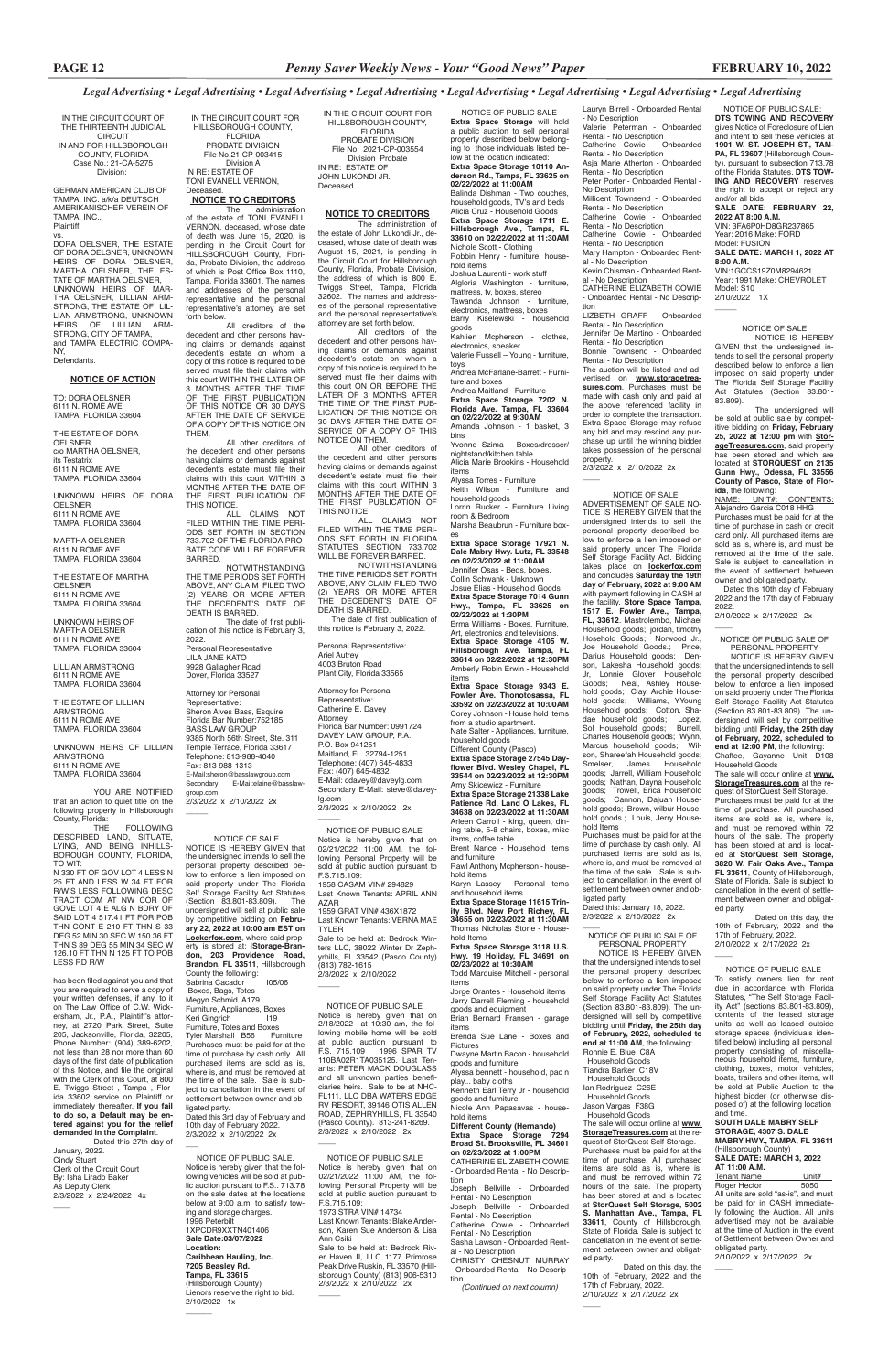IN THE CIRCUIT COURT OF THE THIRTEENTH JUDICIAL **CIRCUIT** IN AND FOR HILLSBOROUGH COUNTY, FLORIDA Case No.: 21-CA-5275 Division:

GERMAN AMERICAN CLUB OF TAMPA, INC. a/k/a DEUTSCH AMERIKANISCHER VEREIN OF TAMPA, INC., Plaintiff,

vs.

DORA OELSNER, THE ESTATE OF DORA OELSNER, UNKNOWN HEIRS OF DORA OELSNER, MARTHA OELSNER, THE ES-TATE OF MARTHA OELSNER, UNKNOWN HEIRS OF MAR-THA OELSNER, LILLIAN ARM-STRONG, THE ESTATE OF LIL-LIAN ARMSTRONG, UNKNOWN HEIRS OF LILLIAN ARM-STRONG, CITY OF TAMPA, and TAMPA ELECTRIC COMPA-NY,

YOU ARE NOTIFIED that an action to quiet title on the following property in Hillsborough

#### Defendants.

#### **NOTICE OF ACTION**

TO: DORA OELSNER 6111 N. ROME AVE TAMPA, FLORIDA 33604

THE ESTATE OF DORA **OELSNER** c/o MARTHA OELSNER, its Testatrix 6111 N ROME AVE TAMPA, FLORIDA 33604

has been filed against you and that you are required to serve a copy of your written defenses, if any, to it<br>on The Law Office of C.W. Wick-The Law Office of  $CM$ 

UNKNOWN HEIRS OF DORA OELSNER 6111 N ROME AVE TAMPA, FLORIDA 33604

MARTHA OELSNER 6111 N ROME AVE TAMPA, FLORIDA 33604

THE ESTATE OF MARTHA OELSNER 6111 N ROME AVE TAMPA, FLORIDA 33604

UNKNOWN HEIRS OF MARTHA OELSNER 6111 N ROME AVE TAMPA, FLORIDA 33604

LILLIAN ARMSTRONG 6111 N ROME AVE TAMPA, FLORIDA 33604

THE ESTATE OF LILLIAN ARMSTRONG 6111 N ROME AVE TAMPA, FLORIDA 33604

UNKNOWN HEIRS OF LILLIAN ARMSTRONG 6111 N ROME AVE TAMPA, FLORIDA 33604

County, Florida: **FOLLOWING** DESCRIBED LAND, SITUATE, LYING, AND BEING INHILLS-BOROUGH COUNTY, FLORIDA, TO WIT:

N 330 FT OF GOV LOT 4 LESS N 25 FT AND LESS W 34 FT FOR R/W'S LESS FOLLOWING DESC TRACT COM AT NW COR OF GOVE LOT 4 E ALG N BDRY OF SAID LOT 4 517.41 FT FOR POB THN CONT F 210 FT THN S 33 DEG 52 MIN 30 SEC W 150.36 FT THN S 89 DEG 55 MIN 34 SEC W 126.10 FT THN N 125 FT TO POB LESS RD R/W

ersham, Jr., P.A., Plaintiff's attorney, at 2720 Park Street, Suite 205, Jacksonville, Florida, 32205, Phone Number: (904) 389-6202, not less than 28 nor more than 60 days of the first date of publication of this Notice, and file the original with the Clerk of this Court, at 800 E. Twiggs Street , Tampa , Florida 33602 service on Plaintiff or immediately thereafter. **If you fail to do so, a Default may be entered against you for the relief demanded in the Complaint**.

Dated this 27th day of

 $\overline{\phantom{a}}$ 

 $\overline{\phantom{a}}$ 

January, 2022. Cindy Stuart Clerk of the Circuit Court By: Isha Lirado Baker As Deputy Clerk 2/3/2022 x 2/24/2022 4x

 $\overline{\phantom{a}}$ 

IN THE CIRCUIT COURT FOR HILLSBOROUGH COUNTY, FLORIDA PROBATE DIVISION File No.21-CP-003415 Division A IN RE: ESTATE OF TONI EVANELL VERNON, Deceased.

### **NOTICE TO CREDITORS**

The administration of the estate of TONI EVANELL VERNON, deceased, whose date of death was June 15, 2020, is pending in the Circuit Court for HILLSBOROUGH County, Florida, Probate Division, the address of which is Post Office Box 1110, Tampa, Florida 33601. The names and addresses of the personal representative and the personal representative's attorney are set forth below.

All creditors of the decedent and other persons having claims or demands against decedent's estate on whom a copy of this notice is required to be served must file their claims with this court WITHIN THE LATER OF 3 MONTHS AFTER THE TIME OF THE FIRST PUBLICATION OF THIS NOTICE OR 30 DAYS AFTER THE DATE OF SERVICE OF A COPY OF THIS NOTICE ON THEM.

All other creditors of the decedent and other persons having claims or demands against decedent's estate must file their claims with this court WITHIN 3 MONTHS AFTER THE DATE OF THE FIRST PUBLICATION OF THIS NOTICE. ALL CLAIMS NOT FILED WITHIN THE TIME PERI-ODS SET FORTH IN SECTION 733.702 OF THE FLORIDA PRO-BATE CODE WILL BE FOREVER BARRED. NOTWITHSTANDING THE TIME PERIODS SET FORTH ABOVE, ANY CLAIM FILED TWO (2) YEARS OR MORE AFTER THE DECEDENT'S DATE OF DEATH IS BARRED.

The date of first publication of this notice is February 3, 2022. Personal Representative: LILA JANE KATO 9928 Gallagher Road Dover, Florida 33527

#### Attorney for Personal Representative: Sheron Alves Bass, Esquire Florida Bar Number:752185 BASS LAW GROUP 9385 North 56th Street, Ste. 311 Temple Terrace, Florida 33617 Telephone: 813-988-4040 Fax: 813-988-1313 E-Mail:sheron@basslawgroup.com<br>Secondary E-Mail:elaine@bas E-Mail:elaine@basslaw group.com 2/3/2022 x 2/10/2022 2x

 $\overline{\phantom{a}}$ 

IN THE CIRCUIT COURT FOR HILLSBOROUGH COUNTY, **FLORIDA** PROBATE DIVISION File No. 2021-CP-003554 Division Probate IN RE: ESTATE OF JOHN LUKONDI JR. Deceased.

### **NOTICE TO CREDITORS**

The administration of the estate of John Lukondi Jr., deceased, whose date of death was August 15, 2021, is pending in the Circuit Court for Hillsborough County, Florida, Probate Division, the address of which is 800 E. Twiggs Street, Tampa, Florida 32602. The names and addresses of the personal representative and the personal representative's attorney are set forth below.

> **ity Blvd. New Port Richey, FL 34655 on 02/23/2022 at 11:30AM**  Thomas Nicholas Stone - House-Dated this: January 18, 2022. 2/3/2022 x 2/10/2022 2x  $\overline{\phantom{a}}$

All creditors of the decedent and other persons having claims or demands against decedent's estate on whom a copy of this notice is required to be served must file their claims with this court ON OR BEFORE THE LATER OF 3 MONTHS AFTER THE TIME OF THE FIRST PUB-LICATION OF THIS NOTICE OR 30 DAYS AFTER THE DATE OF SERVICE OF A COPY OF THIS NOTICE ON THEM.

All other creditors of the decedent and other persons having claims or demands against decedent's estate must file their claims with this court WITHIN 3 MONTHS AFTER THE DATE OF THE FIRST PUBLICATION OF THIS NOTICE.

ALL CLAIMS NOT FILED WITHIN THE TIME PERI-ODS SET FORTH IN FLORIDA STATUTES SECTION 733.702 WILL BE FOREVER BARRED. NOTWITHSTANDING

THE TIME PERIODS SET FORTH ABOVE, ANY CLAIM FILED TWO (2) YEARS OR MORE AFTER THE DECEDENT'S DATE OF DEATH IS BARRED. The date of first publication of

 NOTICE OF PUBLIC SALE Notice is hereby given that on 02/21/2022 11:00 AM, the following Personal Property will be sold at public auction pursuant to F.S.715.109: 1958 CASAM VIN# 294829 Last Known Tenants: APRIL ANN AZAR 1959 GRAT VIN# 436X1872 Last Known Tenants: VERNA MAE TYLER Sale to be held at: Bedrock Winters LLC, 38022 Winter Dr Zephyrhills, FL 33542 (Pasco County) (813) 782-1615 2/3/2022 x 2/10/2022  $\overline{\phantom{a}}$ 

this notice is February 3, 2022.

Personal Representative: Ariel Autrey 4003 Bruton Road Plant City, Florida 33565

Attorney for Personal Representative: Catherine E. Davey Attorney Florida Bar Number: 0991724 DAVEY LAW GROUP, P.A. P.O. Box 941251 Maitland, FL 32794-1251 Telephone: (407) 645-4833 Fax: (407) 645-4832 E-Mail: cdavey@daveylg.com Secondary E-Mail: steve@daveylg.com 2/3/2022 x 2/10/2022 2x

 $\overline{\phantom{a}}$ 

Lauryn Birrell - Onboarded Rental

- No Description

Valerie Peterman - Onboarded Rental - No Description Catherine Cowie - Onboarded Rental - No Description

er Haven II, LLC 1177 Primrose Peak Drive Ruskin, FL 33570 (Hillsborough County) (813) 906-5310 2/3/2022 x 2/10/2022 2x  $\overline{\phantom{a}}$ 

Asja Marie Atherton - Onboarded Rental - No Description Peter Porter - Onboarded Rental -

No Description

Millicent Townsend - Onboarded Rental - No Description Catherine Cowie - Onboarded Rental - No Description Catherine Cowie - Onboarded Rental - No Description Mary Hampton - Onboarded Rent-

al - No Description

Kevin Chisman - Onboarded Rent-

al - No Description

CATHERINE ELIZABETH COWIE - Onboarded Rental - No Descrip-

tion

LIZBETH GRAFF - Onboarded Rental - No Description Jennifer De Martino - Onboarded Rental - No Description Bonnie Townsend - Onboarded Rental - No Description The auction will be listed and advertised on **www.storagetreasures.com**. Purchases must be made with cash only and paid at the above referenced facility in order to complete the transaction. Extra Space Storage may refuse any bid and may rescind any purchase up until the winning bidder takes possession of the personal

property.

 $\overline{\phantom{a}}$ 

2/3/2022 x 2/10/2022 2x

 NOTICE OF PUBLIC SALE **Extra Space Storage** will hold a public auction to sell personal property described below belonging to those individuals listed below at the location indicated: **Extra Space Storage 10110 Anderson Rd., Tampa, FL 33625 on 02/22/2022 at 11:00AM** Balinda Dishman - Two couches,

household goods, TV's and beds Alicia Cruz - Household Goods **Extra Space Storage 1711 E. Hillsborough Ave., Tampa, FL 33610 on 02/22/2022 at 11:30AM** Nichole Scott - Clothing Robbin Henry - furniture, house-

> Tenant Name<br>
> Roger Hector 5050 Roger Hector All units are sold "as-is", and must be paid for in CASH immediately following the Auction. All units advertised may not be available at the time of Auction in the event of Settlement between Owner and obligated party. 2/10/2022 x 2/17/2022 2x

hold items Joshua Laurenti - work stuff Algloria Washington - furniture,

mattress, tv, boxes, stereo Tawanda Johnson - furniture, electronics, mattress, boxes Barry Kiselewski - household

goods Kahlien Mcpherson - clothes,

electronics, speaker Valerie Fussell – Young - furniture, toys

Andrea McFarlane-Barrett - Furniture and boxes Andrea Maitland - Furniture

**Extra Space Storage 7202 N. Florida Ave. Tampa, FL 33604 on 02/22/2022 at 9:30AM** Amanda Johnson - 1 basket, 3

bins Yvonne Szima - Boxes/dresser/ nightstand/kitchen table

Alicia Marie Brookins - Household items Alyssa Torres - Furniture

Keith Wilson - Furniture and household goods Lorrin Rucker - Furniture Living room & Bedroom

Marsha Beaubrun - Furniture box-

es **Extra Space Storage 17921 N. Dale Mabry Hwy. Lutz, FL 33548 on 02/23/2022 at 11:00AM** Jennifer Osas - Beds, boxes. Collin Schwank - Unknown Josue Elias - Household Goods **Extra Space Storage 7014 Gunn Hwy., Tampa, FL 33625 on 02/22/2022 at 1:30PM** 

Erma Williams - Boxes, Furniture, Art, electronics and televisions. **Extra Space Storage 4105 W. Hillsborough Ave. Tampa, FL 33614 on 02/22/2022 at 12:30PM** Amberly Robin Erwin - Household items

**Extra Space Storage 9343 E. Fowler Ave. Thonotosassa, FL 33592 on 02/23/2022 at 10:00AM**  Corey Johnson - House hold items from a studio apartment.

Nate Salter - Appliances, furniture, household goods Different County (Pasco)

**Extra Space Storage 27545 Dayflower Blvd. Wesley Chapel, FL 33544 on 02/23/2022 at 12:30PM**  Amy Skicewicz - Furniture

**Extra Space Storage 21338 Lake Patience Rd. Land O Lakes, FL 34638 on 02/23/2022 at 11:30AM**  Arleen Carroll - king, queen, dining table, 5-8 chairs, boxes, misc

items, coffee table Brent Nance - Household items and furniture

Rawl Anthony Mcpherson - household items Karyn Lassey - Personal items

and household items **Extra Space Storage 11615 Trin-**

 $\overline{\phantom{a}}$  $\overline{\phantom{a}}$  NOTICE IS HEREBY GIVEN that the undersigned intends to sell the personal property described below to enforce a lien imposed on said property under The Florida Self Storage Facility Act Statutes  $ction$  83.801-83.809). The dersigned will sell by competitive bidding until **Friday, the 25th day of February, 2022, scheduled to end at 11:00 AM**, the following: Ronnie E. Blue C8A Household Goods Tiandra Barker C18V Household Goods Ian Rodriguez C26E Household Goods Jason Vargas F38G Household Goods The sale will occur online at **www. StorageTreasures.com** at the request of StorQuest Self Storage. Purchases must be paid for at the time of purchase. All purchased items are sold as is, where is, and must be removed within 72 hours of the sale. The property has been stored at and is located at **StorQuest Self Storage, 5002 S. Manhattan Ave., Tampa, FL 33611**, County of Hillsborough, State of Florida. Sale is subject to cancellation in the event of settlement between owner and obligated party. Dated on this day, the 10th of February, 2022 and the 17th of February, 2022. 2/10/2022 x 2/17/2022 2x

hold Items

**Hwy. 19 Holiday, FL 34691 on 02/23/2022 at 10:30AM**  Todd Marquise Mitchell - personal

items

Jorge Orantes - Household items

Jerry Darrell Fleming - household goods and equipment Brian Bernard Fransen - garage items

Brenda Sue Lane - Boxes and Pictures

Dwayne Martin Bacon - household goods and furniture Alyssa bennett - household, pac n

play... baby cloths Kenneth Earl Terry Jr - household goods and furniture

Nicole Ann Papasavas - household items

**Different County (Hernando) Extra Space Storage 7294 Broad St. Brooksville, FL 34601 on 02/23/2022 at 1:00PM** CATHERINE ELIZABETH COWIE

- Onboarded Rental - No Description

Joseph Bellville - Onboarded Rental - No Description Joseph Bellville - Onboarded Rental - No Description Catherine Cowie - Onboarded Rental - No Description Sasha Lawson - Onboarded Rental - No Description CHRISTY CHESNUT MURRAY

- Onboarded Rental - No Description

*(Continued on next column)*

 $\overline{\phantom{a}}$ 

 NOTICE OF SALE NOTICE IS HEREBY GIVEN that the undersigned intends to sell the personal property described below to enforce a lien imposed on said property under The Florida Self Storage Facility Act Statutes<br>(Section 83.801-83.809). The (Section 83.801-83.809). undersigned will sell at public sale by competitive bidding on **February 22, 2022 at 10:00 am EST on Lockerfox.com**, where said property is stored at: **iStorage-Brandon, 203 Providence Road, Brandon, FL 33511**, Hillsborough County the following: Sabrina Cacador | 105/06 Boxes, Bags, Totes Megyn Schmid A179 Furniture, Appliances, Boxes Keri Gingrich Furniture, Totes and Boxes Tyler Marshall B56 Furniture Purchases must be paid for at the time of purchase by cash only. All purchased items are sold as is, where is, and must be removed at the time of the sale. Sale is subject to cancellation in the event of settlement between owner and obligated party. Dated this 3rd day of February and 10th day of February 2022. 2/3/2022 x 2/10/2022 2x

#### NOTICE OF PUBLIC SALE

Notice is hereby given that on 2/18/2022 at 10:30 am, the following mobile home will be sold at public auction pursuant to F.S. 715.109 1996 SPAR TV 110BA02R1TA035125. Last Tenants: PETER MACK DOUGLASS and all unknown parties beneficiaries heirs. Sale to be at NHC-FL111, LLC DBA WATERS EDGE RV RESORT, 39146 OTIS ALLEN ROAD, ZEPHRYHILLS, FL 33540 (Pasco County). 813-241-8269. 2/3/2022 x 2/10/2022 2x

 $\overline{\phantom{a}}$ 

 NOTICE OF PUBLIC SALE Notice is hereby given that on 02/21/2022 11:00 AM, the following Personal Property will be sold at public auction pursuant to F.S.715.109: 1973 STRA VIN# 14734 Last Known Tenants: Blake Anderson, Karen Sue Anderson & Lisa Ann Csiki Sale to be held at: Bedrock Riv-

 NOTICE OF SALE ADVERTISEMENT OF SALE NO-TICE IS HEREBY GIVEN that the undersigned intends to sell the personal property described below to enforce a lien imposed on said property under The Florida Self Storage Facility Act. Bidding takes place on **lockerfox.com** and concludes **Saturday the 19th day of February, 2022 at 9:00 AM** with payment following in CASH at the facility. **Store Space Tampa, 1517 E. Fowler Ave., Tampa, FL, 33612**. Mastrolembo, Michael Household goods; jordan, timothy Hosehold Goods; Norwood Jr., Joe Household Goods.; Price, Darius Household goods; Denson, Lakesha Household goods; Jr, Lonnie Glover Household Goods; Neal, Ashley Household goods; Clay, Archie Household goods; Williams, YYoung Household goods; Cotton, Shadae household goods; Lopez, Sol Household goods; Burrell, Charles Household goods; Wynn, Marcus household goods; Wilson, Shareefah Household goods;<br>Smelser. James Household James Household goods; Jarrell, William Household goods; Nathan, Dayna Household goods; Trowell, Erica Household goods; Cannon, Dajuan Household goods; Brown, wilbur Household goods.; Louis, Jerry House-

**Extra Space Storage 3118 U.S.**  NOTICE OF PUBLIC SALE OF PERSONAL PROPERTY

hold Items

Purchases must be paid for at the time of purchase by cash only. All purchased items are sold as is, where is, and must be removed at the time of the sale. Sale is subject to cancellation in the event of settlement between owner and ob-

ligated party.

 NOTICE OF PUBLIC SALE. Notice is hereby given that the following vehicles will be sold at public auction pursuant to F.S.. 713.78 on the sale dates at the locations below at 9:00 a.m. to satisfy towing and storage charges. 1996 Peterbilt 1XPCDR9XXTN401406 **Sale Date:03/07/2022 Location: Caribbean Hauling, Inc. 7205 Beasley Rd. Tampa, FL 33615**  (Hillsborough County) Lienors reserve the right to bid. 2/10/2022 1x

 NOTICE OF PUBLIC SALE To satisfy owners lien for rent due in accordance with Florida Statutes, "The Self Storage Facility Act" (sections 83.801-83.809), contents of the leased storage units as well as leased outside storage spaces (individuals identified below) including all personal property consisting of miscellaneous household items, furniture, clothing, boxes, motor vehicles, boats, trailers and other items, will be sold at Public Auction to the highest bidder (or otherwise disposed of) at the following location and time. **SOUTH DALE MABRY SELF STORAGE, 4307 S. DALE MABRY HWY., TAMPA, FL 33611**

# (Hillsborough County) **SALE DATE: MARCH 3, 2022 AT 11:00 A.M.**

 NOTICE OF PUBLIC SALE: **DTS TOWING AND RECOVERY**  gives Notice of Foreclosure of Lien and intent to sell these vehicles at **1901 W. ST. JOSEPH ST., TAM-**PA, FL 33607 (Hillsborough County), pursuant to subsection 713.78 of the Florida Statutes. **DTS TOW-ING AND RECOVERY** reserves the right to accept or reject any and/or all bids.

**SALE DATE: FEBRUARY 22, 2022 AT 8:00 A.M.**

VIN: 3FA6P0HD8GR237865 Year: 2016 Make: FORD

Model: FUSION **SALE DATE: MARCH 1, 2022 AT** 

**8:00 A.M.** VIN:1GCCS19Z0M8294621 Year: 1991 Make: CHEVROLET

Model: S10 2/10/2022 1X

# NOTICE OF SALE

 $\overline{\phantom{a}}$ 

NOTICE IS HEREBY GIVEN that the undersigned intends to sell the personal property described below to enforce a lien imposed on said property under The Florida Self Storage Facility Act Statutes (Section 83.801- 83.809).

The undersigned will be sold at public sale by compet-itive bidding on **Friday, February 25, 2022 at 12:00 pm** with **StorageTreasures.com**, said property has been stored and which are located at **STORQUEST on 2135 Gunn Hwy., Odessa, FL 33556 County of Pasco, State of Florida**, the following:

NAME: UNIT#: CONTENTS: Alejandro Garcia C018 HHG

Purchases must be paid for at the time of purchase in cash or credit card only. All purchased items are sold as is, where is, and must be removed at the time of the sale. Sale is subject to cancellation in the event of settlement between owner and obligated party.

 Dated this 10th day of February 2022 and the 17th day of February 2022.

2/10/2022 x 2/17/2022 2x

 $\overline{\phantom{a}}$ 

#### NOTICE OF PUBLIC SALE OF PERSONAL PROPERTY

 NOTICE IS HEREBY GIVEN that the undersigned intends to sell the personal property described below to enforce a lien imposed on said property under The Florida Self Storage Facility Act Statutes (Section 83.801-83.809). The undersigned will sell by competitive bidding until **Friday, the 25th day of February, 2022, scheduled to end at 12:00 PM**, the following: Chaffee, Gayanne Unit D108 Household Goods

The sale will occur online at **www. StorageTreasures.com** at the re-

quest of StorQuest Self Storage. Purchases must be paid for at the time of purchase. All purchased items are sold as is, where is, and must be removed within 72 hours of the sale. The property has been stored at and is located at **StorQuest Self Storage, 3820 W. Fair Oaks Ave., Tampa FL 33611**, County of Hillsborough, State of Florida. Sale is subject to cancellation in the event of settlement between owner and obligated party.

Dated on this day, the 10th of February, 2022 and the 17th of February, 2022. 2/10/2022 x 2/17/2022 2x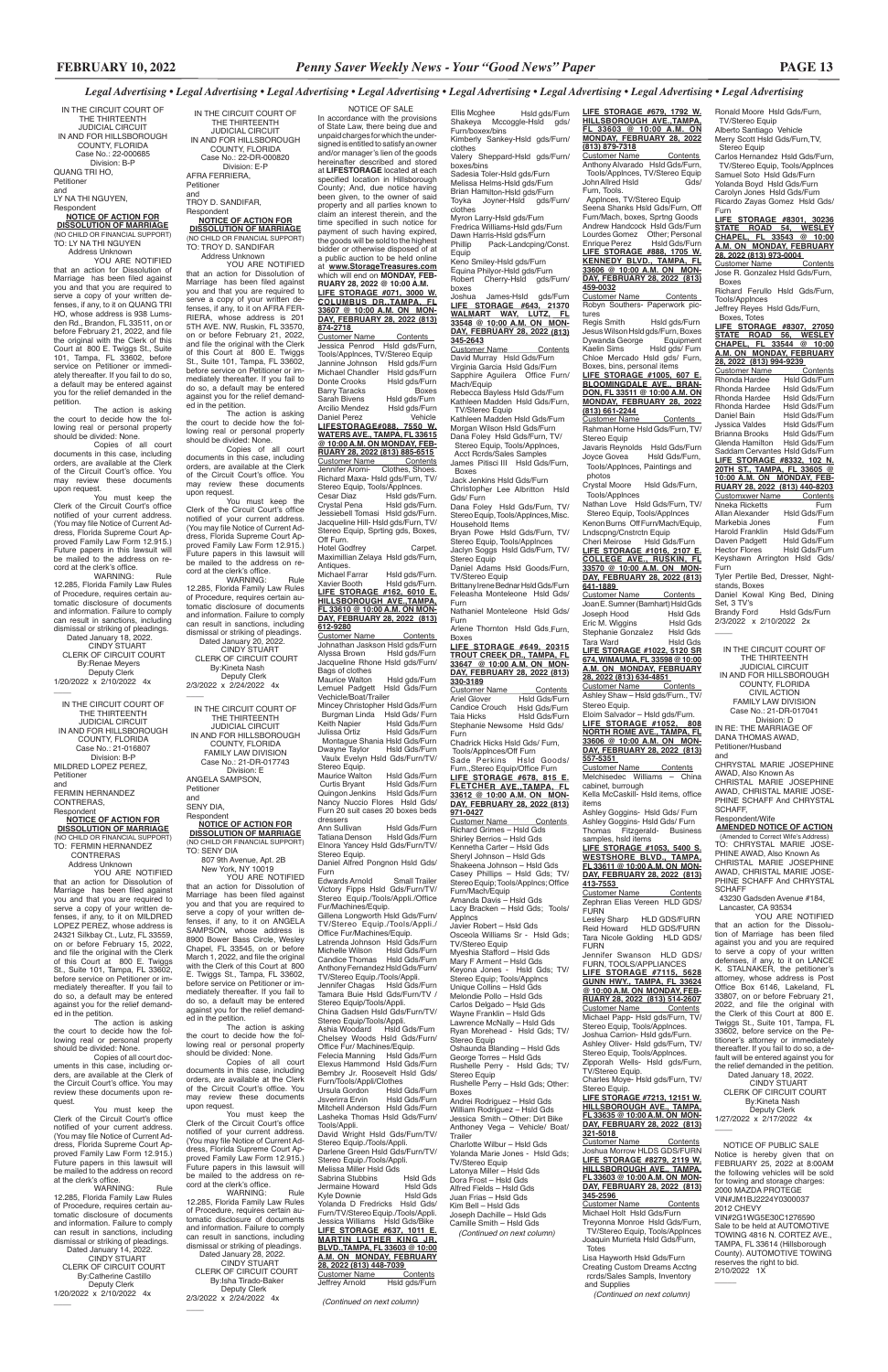TO: LY NA THI NGUYEN Address Unknown YOU ARE NOTIFIED

IN THE CIRCUIT COURT OF THE THIRTEENTH JUDICIAL CIRCUIT IN AND FOR HILLSBOROUGH COUNTY, FLORIDA Case No.: 22-000685 Division: B-P QUANG TRI HO, Petitioner and LY NA THI NGUYEN,

Respondent **NOTICE OF ACTION FOR DISSOLUTION OF MARRIAGE** (NO CHILD OR FINANCIAL SUPPORT)

You must keep the Clerk of the Circuit Court's office notified of your current address. (You may file Notice of Current Address, Florida Supreme Court Approved Family Law Form 12.915.) Future papers in this lawsuit will be mailed to the address on record at the clerk's office.<br>WARNING:

that an action for Dissolution of Marriage has been filed against you and that you are required to serve a copy of your written defenses, if any, to it on QUANG TRI HO, whose address is 938 Lumsden Rd., Brandon, FL 33511, on or before February 21, 2022, and file the original with the Clerk of this Court at 800 E. Twiggs St., Suite 101, Tampa, FL 33602, before service on Petitioner or immediately thereafter. If you fail to do so, a default may be entered against you for the relief demanded in the petition.

 Dated January 18, 2022. CINDY STUART CLERK OF CIRCUIT COURT By:Renae Meyers Deputy Clerk

1/20/2022 x 2/10/2022 4x  $\overline{\phantom{a}}$ 

The action is asking the court to decide how the following real or personal property should be divided: None.

Copies of all court documents in this case, including orders, are available at the Clerk of the Circuit Court's office. You may review these documents upon request.

at the clerk's office. WARNING: Rule 12.285, Florida Family Law Rules of Procedure, requires certain automatic disclosure of documents and information. Failure to comply can result in sanctions, including dismissal or striking of pleadings. Dated January 14, 2022. CINDY STUART CLERK OF CIRCUIT COURT By:Catherine Castillo Deputy Clerk 1/20/2022 x 2/10/2022 4x  $\overline{\phantom{a}}$ 

WARNING: Rule 12.285, Florida Family Law Rules of Procedure, requires certain automatic disclosure of documents and information. Failure to comply can result in sanctions, including dismissal or striking of pleadings.

IN THE CIRCUIT COURT OF THE THIRTEENTH JUDICIAL CIRCUIT IN AND FOR HILLSBOROUGH COUNTY, FLORIDA Case No.: 21-016807 Division: B-P MILDRED LOPEZ PEREZ, Petitioner and FERMIN HERNANDEZ

CONTRERAS, Respondent

# **NOTICE OF ACTION FOR DISSOLUTION OF MARRIAGE** (NO CHILD OR FINANCIAL SUPPORT)

TO: FERMIN HERNANDEZ CONTRERAS Address Unknown YOU ARE NOTIFIED

You must keep the Clerk of the Circuit Court's office notified of your current address. (You may file Notice of Current Address, Florida Supreme Court Ap-proved Family Law Form 12.915.) Future papers in this lawsuit will be mailed to the address on record at the clerk's office.<br>WARNING:

that an action for Dissolution of Marriage has been filed against you and that you are required to serve a copy of your written defenses, if any, to it on MILDRED LOPEZ PEREZ, whose address is 24321 Silkbay Ct., Lutz, FL 33559, on or before February 15, 2022, and file the original with the Clerk of this Court at 800 E. Twiggs St., Suite 101, Tampa, FL 33602, before service on Petitioner or immediately thereafter. If you fail to do so, a default may be entered against you for the relief demand2/3/2022 x 2/24/2022 4x  $\overline{\phantom{a}}$ 

ed in the petition.

TO: SENY DIA 807 9th Avenue, Apt. 2B New York, NY 10019

The action is asking the court to decide how the following real or personal property should be divided: None.

Copies of all court documents in this case, including orders, are available at the Clerk of the Circuit Court's office. You may review these documents upon request.

You must keep the Clerk of the Circuit Court's office notified of your current address. (You may file Notice of Current Address, Florida Supreme Court Approved Family Law Form 12.915.) Future papers in this lawsuit will be mailed to the address on record

YOU ARE NOTIFIED that an action for Dissolution of Marriage has been filed against you and that you are required to serve a copy of your written defenses, if any, to it on ANGELA SAMPSON, whose address is 8900 Bower Bass Circle, Wesley Chapel, FL 33545, on or before March 1, 2022, and file the original with the Clerk of this Court at 800 E. Twiggs St., Tampa, FL 33602, before service on Petitioner or immediately thereafter. If you fail to do so, a default may be entered against you for the relief demanded in the petition. The action is asking the court to decide how the following real or personal property should be divided: None. Copies of all court documents in this case, including orders, are available at the Clerk of the Circuit Court's office. You may review these documents upon request. You must keep the Clerk of the Circuit Court's office notified of your current address. (You may file Notice of Current Address, Florida Supreme Court Approved Family Law Form 12.915.) Future papers in this lawsuit will be mailed to the address on record at the clerk's office.<br>WARNING: WARNING: Rule 12.285, Florida Family Law Rules of Procedure, requires certain automatic disclosure of documents and information. Failure to comply can result in sanctions, including dismissal or striking of pleadings. Dated January 28, 2022. CINDY STUART CLERK OF CIRCUIT COURT By:Isha Tirado-Baker Deputy Clerk 2/3/2022 x 2/24/2022 4x

 $\overline{\phantom{a}}$ 

clothes Myron Larry-Hsld gds/Furn Fredrica Williams-Hsld gds/Furn Dawn Harris-Hsld gds/Furn<br>Phillip Pack-Landcping/ Pack-Landcping/Const.

IN THE CIRCUIT COURT OF THE THIRTEENTH JUDICIAL CIRCUIT IN AND FOR HILLSBOROUGH COUNTY, FLORIDA Case No.: 22-DR-000820 Division: E-P AFRA FERRIERA, Petitioner and TROY D. SANDIFAR, Respondent

> Joshua James-Hsld gds/Furn<br><u>**LIFE STORAGE #643, 21370**<br>WALMART WAY, LUTZ, FL<br>33548 @ 10:00 A.M. ON MON-</u> **DAY, FEBRUARY 28, 2022 (813) 345-2643**

# **NOTICE OF ACTION FOR DISSOLUTION OF MARRIAGE**

(NO CHILD OR FINANCIAL SUPPORT) TO: TROY D. SANDIFAR Address Unknown

YOU ARE NOTIFIED that an action for Dissolution of Marriage has been filed against you and that you are required to serve a copy of your written defenses, if any, to it on AFRA FER-RIERA, whose address is 201 5TH AVE. NW, Ruskin, FL 33570, on or before February 21, 2022, and file the original with the Clerk of this Court at 800 E. Twiggs St., Suite 101, Tampa, FL 33602, before service on Petitioner or immediately thereafter. If you fail to do so, a default may be entered against you for the relief demanded in the petition.

> Taia Hicks Hsld Gds/Furn Stephanie Newsome Hsld Gds/ Furn

The action is asking the court to decide how the following real or personal property should be divided: None.

Copies of all court documents in this case, including orders, are available at the Clerk of the Circuit Court's office. You may review these documents upon request.

> Wayne Franklin – Hsld Gds Lawrence McNally – Hsld Gds Ryan Morehead - Hsld Gds; TV/ Stereo Equip

> Andrei Rodriguez – Hsld Gds William Rodriguez – Hsld Gds Jessica Smith – Other: Dirt Bike Anthoney Vega – Vehicle/ Boat/ **Trailer**

WARNING: Rule 12.285, Florida Family Law Rules of Procedure, requires certain automatic disclosure of documents and information. Failure to comply can result in sanctions, including dismissal or striking of pleadings.

 Dated January 20, 2022. CINDY STUART CLERK OF CIRCUIT COURT By:Kineta Nash Deputy Clerk

| IN THE CIRCUIT COURT OF    |
|----------------------------|
| THE THIRTFFNTH             |
| <b>JUDICIAL CIRCUIT</b>    |
| IN AND FOR HILLSBOROUGH    |
| COUNTY, FLORIDA            |
| <b>FAMILY LAW DIVISION</b> |
| Case No.: 21-DR-017743     |
| Division: E                |
| ANGELA SAMPSON.            |
| Petitioner                 |
| and                        |
| SENY DIA,                  |
| Respondent                 |
| NOTICE C<br>8 CTION.       |

#### **NOTICE OF ACTION FOR DISSOLUTION OF MARRIAGE** (NO CHILD OR FINANCIAL SUPPORT)

Tools/Applnces, TV/Stereo Equin Jannine Johnson Hsld gds/Furn<br>Michael Chandler Hsld gds/Furn Michael Chandler<br>Donte Crooks Hsld gds/Furn<br>Boxes Barry Taracks<br>Sarah Bivens Sarah Bivens Hsld gds/Furn<br>Arcilio Mendez Hsld ads/Furn Hsld gds/Furn<br>Vehicle Daniel Perez **LIFESTORAGE#088, 7550 W. WATERS AVE., TAMPA, FL 33615 @ 10:00 A.M. ON MONDAY, FEB-RUARY 28, 2022 (813) 885-6515** Customer Name Contents Jennifer Aromi- Clothes, Shoes. Richard Maxa- Hsld gds/Furn, TV/ Stereo Equip, Tools/Applnces.<br>Cesar Diaz Hsld qds/F Cesar Diaz Hsld gds/Furn.<br>Crystal Pena Hsld gds/Furn. Crystal Pena Hsld gds/Furn. Jessiebell Tomasi Hsld gds/Furn. Jacqueline Hill- Hsld gds/Furn, TV/ Stereo Equip, Sprting gds, Boxes, Off Furn. Hotel Godfrey Carpet. Maximillian Zelaya Hsld gds/Furn, Antiques.<br>Michael Farrar Michael Farrar Hsld gds/Furn.<br>Xavier Booth Hsld gds/Furn. Hsld gds/Furn. **LIFE STORAGE #162, 6010 E. HILLSBOROUGH AVE.,TAMPA, FL 33610 @ 10:00 A.M. ON MON-DAY, FEBRUARY 28, 2022 (813) 612-9280** Customer Name Contents Johnathan Jaskson Hsld gds/Furn<br>Alyssa Brown Hsld gds/Furn Alyssa Brown Hsld gds/Furn Jacqueline Rhone Hsld gds/Furn/ Bags of clothes Maurice Walton Hsld gds/Furn Lemuel Padgett Hsld Gds/Furn Vechicle/Boat/Trailer

Ann Sullivan Hsld Gds/Furn Hsld Gds/Furn Elnora Yancey Hsld Gds/Furn/TV/ Stereo Equip. Daniel Alfred Pongnon Hsld Gds/

Furn<br>Edwards Arnold

Edwards Arnold Small Trailer<br>Victory Fipps Hsld Gds/Furn/TV/<br>Stereo Equip./Tools/Appli./Office Stereo Luck...<br>Fur/Machines/Equip. Gillena Longworth Hsld Gds/Furn/ TV/Stereo Equip./Tools/Appli./ Office Fur/Machines/Equip. Latrenda Johnson Hsld Gds/Furn Michelle Wilson Hsld Gds/Furn Candice Thomas Hsld Gds/Furn Anthony Fernandez Hsld Gds/Furn/ TV/Stereo Equip./Tools/Appli. Jennifer Chagas Hsld Gds/Furn Tamara Buie Hsld Gds/Furn/TV /

Stereo Equip/Tools/Appli.<br>Ashia Woodard Hsld Gds/Furn Ashia Woodard Hsld Gds/Furn Chelsey Woods Hsld Gds/Furn/ Office Fur/ Machines/Equip.<br>Felecia Manning Hsld Gds/Furn Felecia Manning Elexus Hammond Hsld Gds/Furn Bembry Jr. Roosevelt Hsld Gds/ Furn/Tools/Appli/Clothes Ursula Gordon<br>Jsverirra Ervin Hsld Gds/Furn Mitchell Anderson Hsld Gds/Furn Lasheka Thomas Hsld Gds/Furn/ Tools/Appli.

David Wright Hsld Gds/Furn/TV/ Stereo Equip./Tools/Appli. Darlene Green Hsld Gds/Furn/TV/ Stereo Equip./Tools/Appli. Melissa Miller Hsld Gds<br>Sabrina Stubbins Hsld Gds Sabrina Stubbins Hsld Gds<br>Jermaine Howard Hsld Gds Jermaine Howard Hsld Gds Kyle Downie Yolanda D Fredricks Hsld Gds/ Furn/TV/Stereo Equip./Tools/Appli. Jessica Williams Hsld Gds/Bike **LIFE STORAGE #637, 1011 E. MARTIN LUTHER KING JR. BLVD.,TAMPA, FL 33603 @ 10:00 A.M. ON MONDAY, FEBRUARY 28, 2022 (813) 448-7039**  Customer Name<br>Jeffrey Arnold

Hsld gds/Furn

Ellis Mcghee Hsld gds/Furn Shakeya Mccoggle-Hsld gds/ Furn/boxex/bins Kimberly Sankey-Hsld gds/Furn/ clothes Valery Sheppard-Hsld gds/Furn/

> Customer Name Jose R. Gonzalez Hsld Gds/Furn, Boxes Richard Ferullo Hsld Gds/Furn,

Tools/Applnces Jeffrey Reyes Hsld Gds/Furn,

boxes/bins Sadesia Toler-Hsld gds/Furn Melissa Helms-Hsld gds/Furn Brian Hamilton-Hsld gds/Furn Toyka Joyner-Hsld gds/Furn/

Equip Keno Smiley-Hsld gds/Furn Equina Philyor-Hsld gds/Furn Robert Cherry-Hsld gds/Furn/ boxes

> Customer Name Contents<br>Rhonda Hardee Hsld Gds/Furn **Rhonda Hardee** Hsld Gds/Furn<br>Rhonda Hardee Hsld Gds/Furn Rhonda Hardee Hsld Gds/Furn<br>Rhonda Hardee Hsld Gds/Furn Rhonda Hardee Hsld Gds/Furn Rhonda Hardee<br>Daniel Bain Hsld Gds/Furn Jyssica Valdes Hsld Gds/Furn<br>Brianna Brooks Hsld Gds/Furn Frianna Brooks Hsld Gds/Furn<br>Glenda Hamilton Hsld Gds/Furn Glenda Hamilton Saddam Cervantes Hsld Gds/Furn **LIFE STORAGE #8332, 102 N. 20TH ST., TAMPA, FL 33605 @ 10:00 A.M. ON MONDAY, FEB-RUARY 28, 2022 (813) 440-8203**  Customxwer Name Contents Nneka Ricketts<br>Allan Alexander Hsld Gds/Furr Hsld Gds/Furn<br>Furn Markebia Jones<br>Harold Franklin Hsld Gds/Furn Harold Franklin Hsld Gds/Furn<br>Daven Padgett Hsld Gds/Furn Daven Padgett<br>Hector Flores Hsld Gds/Furn Keyshawn Arrington Hsld Gds/ Furn Tyler Pertile Bed, Dresser, Night-

stands, Boxes Daniel Kowal King Bed, Dining Set, 3 TV's Hsld Gds/Furn

2/3/2022 x 2/10/2022 2x  $\overline{\phantom{a}}$ 

Customer Name Contents David Murray Hsld Gds/Furn Virginia Garcia Hsld Gds/Furn Sapphire Aguilera Office Furn/ Mach/Equip Rebecca Bayless Hsld Gds/Furn

Applnces, TV/Stereo Equip eena Shanks Hsld Gds/Furn, Off Furn/Mach, boxes, Sprtng Goods Andrew Handcock Hsld Gds/Furn Lourdes Gomez Other; Personal<br>Enrique Perez Hsld Gds/Furn Enrique Perez Hsld Gds/Furn **LIFE STORAGE #888, 1705 W. KENNEDY BLVD., TAMPA, FL 33606 @ 10:00 A.M. ON MON-DAY, FEBRUARY 28, 2022 (813) 459-0032**

<u>Customer Name Contents </u><br>Robyn Southers- Paperwork pic-

Kathleen Madden Hsld Gds/Furn, TV/Stereo Equip Kathleen Madden Hsld Gds/Furn Morgan Wilson Hsld Gds/Furn

tures<br>Regis Smith Hsld gds/Furn Jesus Wilson Hsld gds/Furn, Boxes Dywanda George Equipment Kaelin Sims Hsld gds/ Furn Chloe Mercado Hsld gds/ Furn, Boxes, bins, personal items

**LIFE STORAGE #1005, 607 E. BLOOMINGDALE AVE., BRAN-DON, FL 33511 @ 10:00 A.M. ON MONDAY, FEBRUARY 28, 2022 (813) 661-2244**  Customer Name Contents

Dana Foley Hsld Gds/Furn, TV/ Stereo Equip, Tools/Applnces, Acct Rcrds/Sales Samples James Pitisci III Hsld Gds/Furn, Rahman Horne Hsld Gds/Furn, TV/ Stereo Fauin

 Boxes Jack Jenkins Hsld Gds/Furn Javaris Reynolds Hsld Gds/Furn<br>Jovce Govea Hsld Gds/Furn. Hsld Gds/Furn, Tools/Applnces, Paintings and photos

Christopher Lee Albritton Hsld Gds/ Furn Dana Foley Hsld Gds/Furn, TV/ Stereo Equip, Tools/Applnces, Misc.

Household Items Bryan Powe Hsld Gds/Furn, TV/ Stereo Equip, Tools/Applnces

Jaclyn Soggs Hsld Gds/Furn, TV/ Stereo Equip Daniel Adams Hsld Goods/Furn,

TV/Stereo Equip Brittany Irene Bednar Hsld Gds/Furn

Customer Name Contents Joan E. Sumner (Barnhart) Hsld Gds Joseph Hood Hsld Gds<br>Fric M Wiggins Hsld Gds Eric M. Wiggins Hsld Gds<br>Stephanie Gonzalez Hsld Gds Stephanie Gonzalez Hsld Gds<br>Tara Ward Hsld Gds Tara Ward Hsld Gds **LIFE STORAGE #1022, 5120 SR 674, WIMAUMA, FL 33598 @ 10:00 A.M. ON MONDAY, FEBRUARY** 

#### **28, 2022 (813) 634-4851**  Customer Name

Feleasha Monteleone Hsld Gds/ Furn

Nathaniel Monteleone Hsld Gds/ Furn Arlene Thornton Hsld Gds.Furn,

Boxes **LIFE STORAGE #649, 20315** 

**TROUT CREEK DR., TAMPA, FL 33647 @ 10:00 A.M. ON MON-DAY, FEBRUARY 28, 2022 (813) 330-3189**

Customer Name Contents Ariel Glover Hsld Gds/Furn Candice Crouch Hsld Gds/Furn

> Customer Name Contents Zephran Elias Vereen HLD GDS/ **FURN**

Chadrick Hicks Hsld Gds/ Furn, Tools/Applnces/Off Furn Sade Perkins Hsld Goods/

Furn.,Stereo Equip/Office Furn **LIFE STORAGE #678, 815 E. FLETCHER AVE.,TAMPA, FL 33612 @ 10:00 A.M. ON MON-**

**DAY, FEBRUARY 28, 2022 (813) 971-0427** Customer Name Contents Richard Grimes – Hsld Gds Shirley Berrios – Hsld Gds

Kennetha Carter – Hsld Gds Sheryl Johnson – Hsld Gds Shakeena Johnson – Hsld Gds Casey Phillips – Hsld Gds; TV/ Stereo Equip; Tools/Applncs; Office Furn/Mach/Equip Amanda Davis – Hsld Gds Lacy Bracken – Hsld Gds; Tools/ Applncs Javier Robert – Hsld Gds Osceola Williams Sr - Hsld Gds; TV/Stereo Equip Myeshia Stafford – Hsld Gds Mary F Arment – Hsld Gds Keyona Jones - Hsld Gds; TV/ Stereo Equip; Tools/Applncs Unique Collins – Hsld Gds

Division: D IN RE: THE MARRIAGE OF DANA THOMAS AWAD,

Melondie Pollo – Hsld Gds Carlos Delgado – Hsld Gds

Oshaunda Blanding – Hsld Gds George Torres – Hsld Gds Rushelle Perry - Hsld Gds; TV/ Stereo Equip

2022, and file the original with the Clerk of this Court at 800 E. Twiggs St., Suite 101, Tampa, FL 33602, before service on the Petitioner's attorney or immediately thereafter. If you fail to do so, a default will be entered against you for the relief demanded in the petition. Dated January 18, 2022. CINDY STUART CLERK OF CIRCUIT COURT By:Kineta Nash Deputy Clerk 1/27/2022 x 2/17/2022 4x  $\overline{\phantom{a}}$ 

Rushelle Perry – Hsld Gds; Other: Boxes

Charlotte Wilbur – Hsld Gds Yolanda Marie Jones - Hsld Gds; TV/Stereo Equip Latonya Miller – Hsld Gds Dora Frost – Hsld Gds Alfred Fields – Hsld Gds Juan Frias – Hsld Gds Kim Bell – Hsld Gds Joseph Dachille – Hsld Gds Camille Smith – Hsld Gds  *(Continued on next column)*

#### NOTICE OF SALE

In accordance with the provisions of State Law, there being due and unpaid charges for which the undersigned is entitled to satisfy an owner and/or manager's lien of the goods hereinafter described and stored at **LIFESTORAGE** located at each specified location in Hillsborough County; And, due notice having been given, to the owner of said property and all parties known to claim an interest therein, and the time specified in such notice for payment of such having expired, the goods will be sold to the highest bidder or otherwise disposed of at a public auction to be held online at **www.StorageTreasures.com**  which will end on **MONDAY, FEB-RUARY 28, 2022 @ 10:00 A.M. LIFE STORAGE #071, 3000 W. COLUMBUS DR.,TAMPA, FL 33607 @ 10:00 A.M. ON MON-DAY, FEBRUARY 28, 2022 (813) 874-2718**  Customer Name Contents Jessica Penrod Hsld gds/Furn,

Mincey Christopher Hsld Gds/Furn Burgman Linda<br>Keith Napier Hsld Gds/Furn Keith Napier Hsld Gds/Furn<br>Julissa Ortiz Hsld Gds/Furn Held Gds/Furn Montague Shania Hsld Gds/Furn<br>Dwayne Taylor Hsld Gds/Furn Hsld Gds/Furn Vaulx Evelyn Hsld Gds/Furn/TV/ Stereo Equip.

Maurice Walton Hsld Gds/Furn<br>Curtis Bryant Hsld Gds/Furn Hsld Gds/Furn<br>Hsld Gds/Furn Quingon Jenkins Nancy Nuccio Flores Hsld Gds/ Furn 20 suit cases 20 boxes beds dressers<br>Ann Sullivan

Stereo Equip/Tools/Appli.

China Gadsen Hsld Gds/Furn/TV/

*(Continued on next column)*

Ronald Moore Hsld Gds/Furn, TV/Stereo Equip Alberto Santiago Vehicle Merry Scott Hsld Gds/Furn,TV, Stereo Equip

Carlos Hernandez Hsld Gds/Furn, TV/Stereo Equip, Tools/Applnces Samuel Soto Hsld Gds/Furn Yolanda Boyd Hsld Gds/Furn Carolyn Jones Hsld Gds/Furn Ricardo Zayas Gomez Hsld Gds/

Furn

**LIFE STORAGE #8301, 30236 STATE ROAD 54, WESLEY CHAPEL, FL 33543 @ 10:00 A.M. ON MONDAY, FEBRUARY 28, 2022 (813) 973-0004** 

Boxes, Totes

**LIFE STORAGE #8307, 27050 STATE ROAD 56, WESLEY CHAPEL, FL 33544 @ 10:00 A.M. ON MONDAY, FEBRUARY 28, 2022 (813) 994-9239** 

**LIFE STORAGE #679, 1792 W. HILLSBOROUGH AVE.,TAMPA, FL 33603 @ 10:00 A.M. ON MONDAY, FEBRUARY 28, 2022 (813) 879-7318** Customer Name Contents

Anthony Alvarado Hsld Gds/Furn, Tools/AppInces, TV/Stereo Equip<br>/John Allred Hsld Furn, Tools.

Crystal Moore Hsld Gds/Furn, Tools/Applnces

Nathan Love Hsld Gds/Furn, TV/ Stereo Equip, Tools/Applnces Kenon Burns Off Furn/Mach/Equip,

Lndscpng/Cnstrctn Equip Cheri Meirose Hsld Gds/Furn **LIFE STORAGE #1016, 2107 E.** 

**COLLEGE AVE., RUSKIN, FL 33570 @ 10:00 A.M. ON MON-DAY, FEBRUARY 28, 2022 (813) 641-1889** 

Ashley Shaw – Hsld gds/Furn., TV/ Stereo Equip. Eloim Salvador – Hsld gds/Furn.

**LIFE STORAGE #1052, 808 NORTH ROME AVE., TAMPA, FL 33606 @ 10:00 A.M. ON MON-DAY, FEBRUARY 28, 2022 (813) 557-5351** 

Customer Name Contents Melchisedec Williams - China cabinet, burrough

Kella McCaskill- Hsld items, office items Ashley Goggins- Hsld Gds/ Furn Ashley Goggins- Hsld Gds/ Furn

Thomas Fitzgerald- Business samples, hsld items **LIFE STORAGE #1053, 5400 S. WESTSHORE BLVD., TAMPA,** 

**FL 33611 @ 10:00 A.M. ON MON-DAY, FEBRUARY 28, 2022 (813) 413-7553** 

Lesley Sharp HLD GDS/FURN Reid Howard HLD GDS/FURN Tara Nicole Golding HLD GDS/ FURN

Jennifer Swanson HLD GDS/ FURN, TOOLS/APPLIANCES **LIFE STORAGE #7115, 5628 GUNN HWY., TAMPA, FL 33624 @ 10:00 A.M. ON MONDAY, FEB-RUARY 28, 2022 (813) 514-2607**  Customer Name Contents Michael Papp- Hsld gds/Furn, TV/ Stereo Equip, Tools/Applnces. Joshua Carrion- Hsld gds/Furn. Ashley Oliver- Hsld gds/Furn, TV/ Stereo Equip, Tools/Applnces. Zipporah Wells- Hsld gds/Furn, TV/Stereo Equip. Charles Moye- Hsld gds/Furn, TV/ Stereo Equip. **LIFE STORAGE #7213, 12151 W. HILLSBOROUGH AVE., TAMPA, FL 33635 @ 10:00 A.M. ON MON-DAY, FEBRUARY 28, 2022 (813) 321-5018**  Customer Name Contents Joshua Morrow HLDS GDS/FURN **LIFE STORAGE #8279, 2119 W. HILLSBOROUGH AVE., TAMPA, FL 33603 @ 10:00 A.M. ON MON-DAY, FEBRUARY 28, 2022 (813) 345-2596**  Customer Name Contents Michael Holt Hsld Gds/Furn Treyonna Monroe Hsld Gds/Furn, TV/Stereo Equip, Tools/Applnces Joaquin Murrieta Hsld Gds/Furn, Totes Lisa Hayworth Hsld Gds/Furn Creating Custom Dreams Acctng rcrds/Sales Sampls, Inventory and Supplies

*(Continued on next column)*

IN THE CIRCUIT COURT OF THE THIRTEENTH JUDICIAL CIRCUIT

IN AND FOR HILLSBOROUGH COUNTY, FLORIDA CIVIL ACTION FAMILY LAW DIVISION Case No.: 21-DR-017041

Petitioner/Husband and

CHRYSTAL MARIE JOSEPHINE

AWAD, Also Known As

CHRISTAL MARIE JOSEPHINE AWAD, CHRISTAL MARIE JOSE-PHINE SCHAFF And CHRYSTAL

SCHAFF, Respondent/Wife

**SCHAFF** 

**AMENDED NOTICE OF ACTION** (Amended to Correct Wife's Address) TO: CHRYSTAL MARIE JOSE-PHINE AWAD, Also Known As CHRISTAL MARIE JOSEPHINE AWAD, CHRISTAL MARIE JOSE-PHINE SCHAFF And CHRYSTAL

 43230 Gadsden Avenue #184, Lancaster, CA 93534

YOU ARE NOTIFIED that an action for the Dissolution of Marriage has been filed against you and you are required to serve a copy of your written defenses, if any, to it on LANCE K. STALNAKER, the petitioner's attorney, whose address is Post Office Box 6146, Lakeland, FL 33807, on or before February 21,

 NOTICE OF PUBLIC SALE Notice is hereby given that on FEBRUARY 25, 2022 at 8:00AM the following vehicles will be sold for towing and storage charges: 2000 MAZDA PROTEGE VIN#JM1BJ2224Y0300037 2012 CHEVY VIN#2G1WG5E30C1276590 Sale to be held at AUTOMOTIVE TOWING 4816 N. CORTEZ AVE., TAMPA, FL 33614 (Hillsborough County). AUTOMOTIVE TOWING reserves the right to bid. 2/10/2022 1X